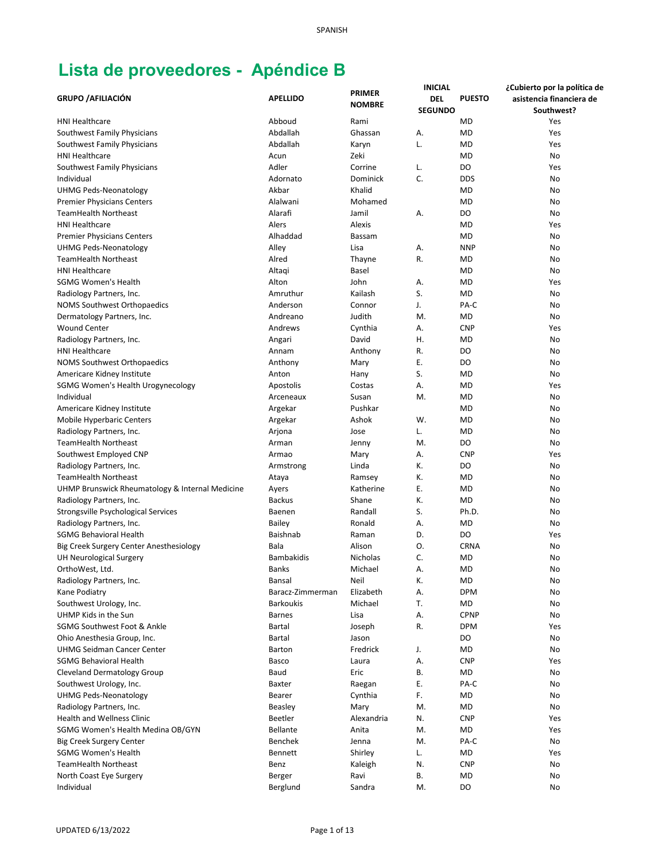|                                                 |                   |                                | <b>INICIAL</b> |               | ¿Cubierto por la política de |
|-------------------------------------------------|-------------------|--------------------------------|----------------|---------------|------------------------------|
| <b>GRUPO / AFILIACIÓN</b>                       | <b>APELLIDO</b>   | <b>PRIMER</b><br><b>NOMBRE</b> | <b>DEL</b>     | <b>PUESTO</b> | asistencia financiera de     |
|                                                 |                   |                                | <b>SEGUNDO</b> |               | Southwest?                   |
| <b>HNI Healthcare</b>                           | Abboud            | Rami                           |                | <b>MD</b>     | Yes                          |
| Southwest Family Physicians                     | Abdallah          | Ghassan                        | Α.             | <b>MD</b>     | Yes                          |
| Southwest Family Physicians                     | Abdallah          | Karyn                          | L.             | <b>MD</b>     | Yes                          |
| <b>HNI Healthcare</b>                           | Acun              | Zeki                           |                | <b>MD</b>     | No                           |
| Southwest Family Physicians                     | Adler             | Corrine                        | L.             | DO            | Yes                          |
| Individual                                      | Adornato          | Dominick                       | C.             | <b>DDS</b>    | No                           |
| <b>UHMG Peds-Neonatology</b>                    | Akbar             | Khalid                         |                | <b>MD</b>     | No                           |
| <b>Premier Physicians Centers</b>               | Alalwani          | Mohamed                        |                | <b>MD</b>     | No                           |
| <b>TeamHealth Northeast</b>                     | Alarafi           | Jamil                          | А.             | DO            | No                           |
| <b>HNI Healthcare</b>                           | Alers             | Alexis                         |                | <b>MD</b>     | Yes                          |
| <b>Premier Physicians Centers</b>               | Alhaddad          | <b>Bassam</b>                  |                | <b>MD</b>     | No                           |
| <b>UHMG Peds-Neonatology</b>                    | Alley             | Lisa                           | А.             | <b>NNP</b>    | No                           |
| <b>TeamHealth Northeast</b>                     | Alred             | Thayne                         | R.             | <b>MD</b>     | No                           |
| <b>HNI Healthcare</b>                           | Altagi            | Basel                          |                | <b>MD</b>     | No                           |
| <b>SGMG Women's Health</b>                      | Alton             | John                           | А.             | <b>MD</b>     | Yes                          |
| Radiology Partners, Inc.                        | Amruthur          | Kailash                        | S.             | <b>MD</b>     | No                           |
| <b>NOMS Southwest Orthopaedics</b>              | Anderson          | Connor                         | J.             | PA-C          | No                           |
| Dermatology Partners, Inc.                      | Andreano          | Judith                         | M.             | MD            | No                           |
| <b>Wound Center</b>                             | Andrews           | Cynthia                        | А.             | <b>CNP</b>    | Yes                          |
| Radiology Partners, Inc.                        | Angari            | David                          | Η.             | <b>MD</b>     | No                           |
| <b>HNI Healthcare</b>                           | Annam             | Anthony                        | R.             | DO            | No                           |
| <b>NOMS Southwest Orthopaedics</b>              | Anthony           | Mary                           | Ε.             | DO            | No                           |
| Americare Kidney Institute                      | Anton             | Hany                           | S.             | MD            | No                           |
| SGMG Women's Health Urogynecology               | Apostolis         | Costas                         | А.             | <b>MD</b>     | Yes                          |
| Individual                                      | Arceneaux         | Susan                          | M.             | <b>MD</b>     | No                           |
| Americare Kidney Institute                      | Argekar           | Pushkar                        |                | <b>MD</b>     | No                           |
| Mobile Hyperbaric Centers                       | Argekar           | Ashok                          | W.             | <b>MD</b>     | No                           |
| Radiology Partners, Inc.                        | Arjona            | Jose                           | L.             | <b>MD</b>     | No                           |
| <b>TeamHealth Northeast</b>                     | Arman             | Jenny                          | M.             | DO            | No                           |
|                                                 |                   |                                | А.             | <b>CNP</b>    |                              |
| Southwest Employed CNP                          | Armao             | Mary                           | К.             | DO            | Yes<br>No                    |
| Radiology Partners, Inc.                        | Armstrong         | Linda                          |                | <b>MD</b>     |                              |
| <b>TeamHealth Northeast</b>                     | Ataya             | Ramsey                         | К.<br>Ε.       |               | No                           |
| UHMP Brunswick Rheumatology & Internal Medicine | Ayers             | Katherine                      |                | <b>MD</b>     | No                           |
| Radiology Partners, Inc.                        | <b>Backus</b>     | Shane                          | К.             | <b>MD</b>     | No                           |
| Strongsville Psychological Services             | Baenen            | Randall                        | S.             | Ph.D.         | No                           |
| Radiology Partners, Inc.                        | <b>Bailey</b>     | Ronald                         | А.             | MD            | No                           |
| SGMG Behavioral Health                          | Baishnab          | Raman                          | D.             | DO            | Yes                          |
| Big Creek Surgery Center Anesthesiology         | Bala              | Alison                         | Ο.             | <b>CRNA</b>   | No                           |
| <b>UH Neurological Surgery</b>                  | <b>Bambakidis</b> | Nicholas                       | C.             | <b>MD</b>     | No                           |
| OrthoWest, Ltd.                                 | Banks             | Michael                        | Α.             | <b>MD</b>     | No                           |
| Radiology Partners, Inc.                        | Bansal            | Neil                           | К.             | <b>MD</b>     | No                           |
| Kane Podiatry                                   | Baracz-Zimmerman  | Elizabeth                      | А.             | <b>DPM</b>    | No                           |
| Southwest Urology, Inc.                         | <b>Barkoukis</b>  | Michael                        | Т.             | MD            | No                           |
| UHMP Kids in the Sun                            | <b>Barnes</b>     | Lisa                           | Α.             | <b>CPNP</b>   | No                           |
| SGMG Southwest Foot & Ankle                     | <b>Bartal</b>     | Joseph                         | R.             | <b>DPM</b>    | Yes                          |
| Ohio Anesthesia Group, Inc.                     | <b>Bartal</b>     | Jason                          |                | DO            | No                           |
| <b>UHMG Seidman Cancer Center</b>               | Barton            | Fredrick                       | J.             | MD            | No                           |
| <b>SGMG Behavioral Health</b>                   | Basco             | Laura                          | А.             | <b>CNP</b>    | Yes                          |
| Cleveland Dermatology Group                     | Baud              | Eric                           | В.             | MD            | No                           |
| Southwest Urology, Inc.                         | Baxter            | Raegan                         | Ε.             | PA-C          | No                           |
| <b>UHMG Peds-Neonatology</b>                    | Bearer            | Cynthia                        | F.             | MD            | No                           |
| Radiology Partners, Inc.                        | <b>Beasley</b>    | Mary                           | M.             | <b>MD</b>     | No                           |
| Health and Wellness Clinic                      | Beetler           | Alexandria                     | N.             | <b>CNP</b>    | Yes                          |
| SGMG Women's Health Medina OB/GYN               | Bellante          | Anita                          | M.             | MD            | Yes                          |
| <b>Big Creek Surgery Center</b>                 | Benchek           | Jenna                          | M.             | PA-C          | No                           |
| <b>SGMG Women's Health</b>                      | <b>Bennett</b>    | Shirley                        | L.             | <b>MD</b>     | Yes                          |
| <b>TeamHealth Northeast</b>                     | Benz              | Kaleigh                        | N.             | <b>CNP</b>    | No                           |
| North Coast Eye Surgery                         | Berger            | Ravi                           | В.             | <b>MD</b>     | No                           |
| Individual                                      | Berglund          | Sandra                         | M.             | DO            | No                           |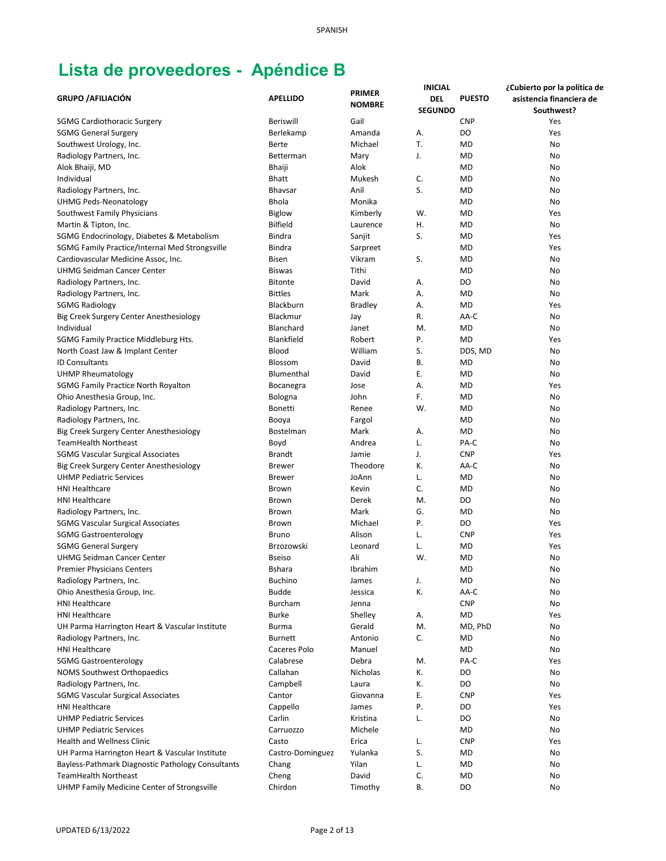|                                                    |                  |                 | <b>INICIAL</b> |               | ¿Cubierto por la política de |
|----------------------------------------------------|------------------|-----------------|----------------|---------------|------------------------------|
| <b>GRUPO / AFILIACIÓN</b>                          | <b>APELLIDO</b>  | <b>PRIMER</b>   | DEL            | <b>PUESTO</b> | asistencia financiera de     |
|                                                    |                  | <b>NOMBRE</b>   | <b>SEGUNDO</b> |               | Southwest?                   |
| <b>SGMG Cardiothoracic Surgery</b>                 | <b>Beriswill</b> | Gail            |                | <b>CNP</b>    | Yes                          |
| <b>SGMG General Surgery</b>                        | Berlekamp        | Amanda          | А.             | DO            | Yes                          |
| Southwest Urology, Inc.                            | Berte            | Michael         | Т.             | <b>MD</b>     | No                           |
| Radiology Partners, Inc.                           | Betterman        |                 | J.             | <b>MD</b>     | No                           |
|                                                    |                  | Mary            |                |               |                              |
| Alok Bhaiji, MD                                    | Bhaiji           | Alok            |                | <b>MD</b>     | No                           |
| Individual                                         | <b>Bhatt</b>     | Mukesh          | C.             | <b>MD</b>     | No                           |
| Radiology Partners, Inc.                           | <b>Bhavsar</b>   | Anil            | S.             | <b>MD</b>     | No                           |
| <b>UHMG Peds-Neonatology</b>                       | <b>Bhola</b>     | Monika          |                | <b>MD</b>     | No                           |
| Southwest Family Physicians                        | <b>Biglow</b>    | Kimberly        | W.             | <b>MD</b>     | Yes                          |
| Martin & Tipton, Inc.                              | <b>Bilfield</b>  | Laurence        | Η.             | <b>MD</b>     | No                           |
| SGMG Endocrinology, Diabetes & Metabolism          | <b>Bindra</b>    | Sanjit          | S.             | <b>MD</b>     | Yes                          |
| SGMG Family Practice/Internal Med Strongsville     | <b>Bindra</b>    | Sarpreet        |                | MD            | Yes                          |
| Cardiovascular Medicine Assoc, Inc.                | Bisen            | Vikram          | S.             | <b>MD</b>     | No                           |
| <b>UHMG Seidman Cancer Center</b>                  | <b>Biswas</b>    | Tithi           |                | <b>MD</b>     | No                           |
| Radiology Partners, Inc.                           | <b>Bitonte</b>   | David           | А.             | DO            | No                           |
| Radiology Partners, Inc.                           | <b>Bittles</b>   | Mark            | А.             | <b>MD</b>     | No                           |
| <b>SGMG Radiology</b>                              | Blackburn        | <b>Bradley</b>  | А.             | <b>MD</b>     | Yes                          |
| Big Creek Surgery Center Anesthesiology            | Blackmur         | Jay             | R.             | AA-C          | No                           |
| Individual                                         | Blanchard        | Janet           | M.             | MD            | No                           |
|                                                    | Blankfield       | Robert          | Ρ.             | <b>MD</b>     |                              |
| SGMG Family Practice Middleburg Hts.               |                  | William         |                |               | Yes                          |
| North Coast Jaw & Implant Center                   | <b>Blood</b>     |                 | S.             | DDS, MD       | No                           |
| <b>ID Consultants</b>                              | Blossom          | David           | В.             | MD            | No                           |
| <b>UHMP Rheumatology</b>                           | Blumenthal       | David           | Ε.             | <b>MD</b>     | No                           |
| <b>SGMG Family Practice North Royalton</b>         | Bocanegra        | Jose            | А.             | <b>MD</b>     | Yes                          |
| Ohio Anesthesia Group, Inc.                        | Bologna          | John            | F.             | <b>MD</b>     | No                           |
| Radiology Partners, Inc.                           | <b>Bonetti</b>   | Renee           | W.             | <b>MD</b>     | No                           |
| Radiology Partners, Inc.                           | Booya            | Fargol          |                | <b>MD</b>     | No                           |
| Big Creek Surgery Center Anesthesiology            | Bostelman        | Mark            | А.             | <b>MD</b>     | No                           |
| <b>TeamHealth Northeast</b>                        | Boyd             | Andrea          | L.             | PA-C          | No                           |
| <b>SGMG Vascular Surgical Associates</b>           | <b>Brandt</b>    | Jamie           | J.             | <b>CNP</b>    | Yes                          |
| Big Creek Surgery Center Anesthesiology            | <b>Brewer</b>    | Theodore        | К.             | AA-C          | No                           |
| <b>UHMP Pediatric Services</b>                     | <b>Brewer</b>    | JoAnn           | L.             | <b>MD</b>     | No                           |
| <b>HNI Healthcare</b>                              | <b>Brown</b>     | Kevin           | C.             | <b>MD</b>     | No                           |
| <b>HNI Healthcare</b>                              | Brown            | Derek           | M.             | DO            | No                           |
| Radiology Partners, Inc.                           | <b>Brown</b>     | Mark            | G.             | <b>MD</b>     | No                           |
| <b>SGMG Vascular Surgical Associates</b>           | Brown            | Michael         | Ρ.             | DO            | Yes                          |
| <b>SGMG Gastroenterology</b>                       | Bruno            | Alison          | L.             | <b>CNP</b>    | Yes                          |
| <b>SGMG General Surgery</b>                        | Brzozowski       | Leonard         | L.             | MD            | Yes                          |
|                                                    |                  | Ali             | W.             | <b>MD</b>     |                              |
| UHMG Seidman Cancer Center                         | <b>Bseiso</b>    |                 |                |               | No                           |
| <b>Premier Physicians Centers</b>                  | <b>Bshara</b>    | Ibrahim         |                | <b>MD</b>     | No                           |
| Radiology Partners, Inc.                           | <b>Buchino</b>   | James           | J.             | <b>MD</b>     | No                           |
| Ohio Anesthesia Group, Inc.                        | <b>Budde</b>     | Jessica         | К.             | AA-C          | No                           |
| <b>HNI Healthcare</b>                              | Burcham          | Jenna           |                | <b>CNP</b>    | No                           |
| <b>HNI Healthcare</b>                              | <b>Burke</b>     | Shelley         | Α.             | MD            | Yes                          |
| UH Parma Harrington Heart & Vascular Institute     | <b>Burma</b>     | Gerald          | M.             | MD, PhD       | No                           |
| Radiology Partners, Inc.                           | <b>Burnett</b>   | Antonio         | C.             | MD            | No                           |
| <b>HNI Healthcare</b>                              | Caceres Polo     | Manuel          |                | MD            | No                           |
| <b>SGMG Gastroenterology</b>                       | Calabrese        | Debra           | M.             | PA-C          | Yes                          |
| NOMS Southwest Orthopaedics                        | Callahan         | <b>Nicholas</b> | К.             | DO            | No                           |
| Radiology Partners, Inc.                           | Campbell         | Laura           | К.             | DO            | No                           |
| <b>SGMG Vascular Surgical Associates</b>           | Cantor           | Giovanna        | Ε.             | <b>CNP</b>    | Yes                          |
| <b>HNI Healthcare</b>                              | Cappello         | James           | Ρ.             | DO            | Yes                          |
| <b>UHMP Pediatric Services</b>                     | Carlin           | Kristina        | L.             | DO            | No                           |
| <b>UHMP Pediatric Services</b>                     | Carruozzo        | Michele         |                | MD            | No                           |
| <b>Health and Wellness Clinic</b>                  | Casto            | Erica           | L.             | <b>CNP</b>    | Yes                          |
| UH Parma Harrington Heart & Vascular Institute     |                  | Yulanka         | S.             | <b>MD</b>     | No                           |
|                                                    | Castro-Dominguez |                 |                |               |                              |
| Bayless-Pathmark Diagnostic Pathology Consultants  | Chang            | Yilan           | L.             | <b>MD</b>     | No                           |
| <b>TeamHealth Northeast</b>                        | Cheng            | David           | C.             | <b>MD</b>     | No                           |
| <b>UHMP Family Medicine Center of Strongsville</b> | Chirdon          | Timothy         | В.             | DO            | No                           |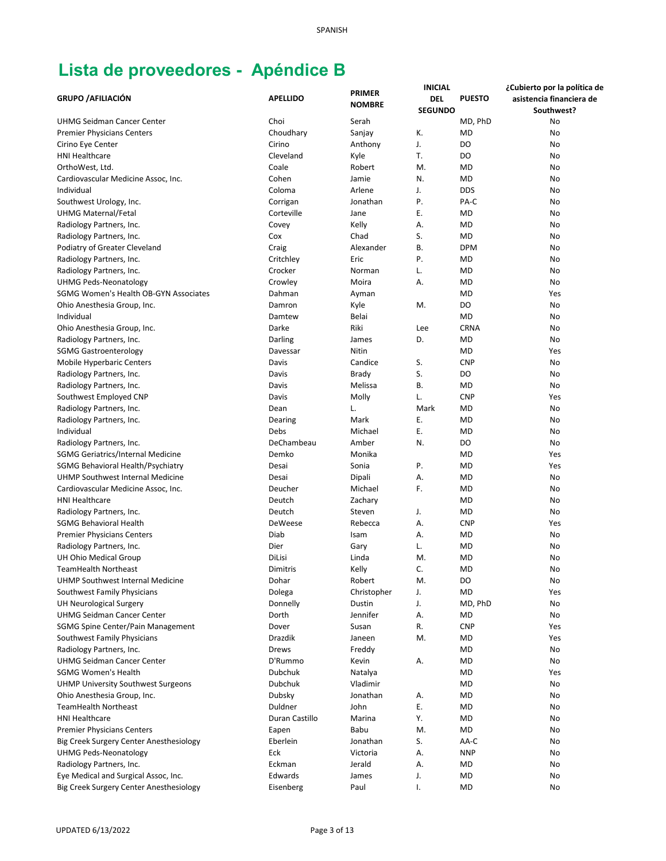|                                              |                 | <b>PRIMER</b> | <b>INICIAL</b> |               | ¿Cubierto por la política de |
|----------------------------------------------|-----------------|---------------|----------------|---------------|------------------------------|
| <b>GRUPO / AFILIACIÓN</b>                    | <b>APELLIDO</b> | <b>NOMBRE</b> | <b>DEL</b>     | <b>PUESTO</b> | asistencia financiera de     |
|                                              |                 |               | <b>SEGUNDO</b> |               | Southwest?                   |
| <b>UHMG Seidman Cancer Center</b>            | Choi            | Serah         |                | MD, PhD       | No                           |
| <b>Premier Physicians Centers</b>            | Choudhary       | Sanjay        | К.             | <b>MD</b>     | No                           |
| Cirino Eye Center                            | Cirino          | Anthony       | J.             | DO            | No                           |
| <b>HNI Healthcare</b>                        | Cleveland       | Kyle          | Т.             | DO            | No                           |
| OrthoWest, Ltd.                              | Coale           | Robert        | M.             | <b>MD</b>     | No                           |
| Cardiovascular Medicine Assoc, Inc.          | Cohen           | Jamie         | N.             | <b>MD</b>     | No                           |
| Individual                                   | Coloma          | Arlene        | J.             | <b>DDS</b>    | No                           |
| Southwest Urology, Inc.                      | Corrigan        | Jonathan      | P.             | PA-C          | No                           |
| <b>UHMG Maternal/Fetal</b>                   | Corteville      | Jane          | Ε.             | <b>MD</b>     | No                           |
| Radiology Partners, Inc.                     | Covey           | Kelly         | Α.             | <b>MD</b>     | No                           |
| Radiology Partners, Inc.                     | Cox             | Chad          | S.             | <b>MD</b>     | No                           |
| Podiatry of Greater Cleveland                | Craig           | Alexander     | В.             | <b>DPM</b>    | No                           |
| Radiology Partners, Inc.                     | Critchley       | Eric          | Ρ.             | <b>MD</b>     | No                           |
| Radiology Partners, Inc.                     | Crocker         | Norman        | L.             | <b>MD</b>     | No                           |
| <b>UHMG Peds-Neonatology</b>                 | Crowley         | Moira         | А.             | <b>MD</b>     | No                           |
| <b>SGMG Women's Health OB-GYN Associates</b> | Dahman          | Ayman         |                | <b>MD</b>     | Yes                          |
| Ohio Anesthesia Group, Inc.                  | Damron          | Kyle          | M.             | DO            | No                           |
| Individual                                   | Damtew          | Belai         |                | <b>MD</b>     | No                           |
| Ohio Anesthesia Group, Inc.                  | Darke           | Riki          | Lee            | <b>CRNA</b>   | No                           |
| Radiology Partners, Inc.                     | Darling         | James         | D.             | <b>MD</b>     | No                           |
| <b>SGMG Gastroenterology</b>                 | Davessar        | Nitin         |                | <b>MD</b>     | Yes                          |
| Mobile Hyperbaric Centers                    | Davis           | Candice       | S.             | <b>CNP</b>    | No                           |
| Radiology Partners, Inc.                     | Davis           | Brady         | S.             | DO            | No                           |
| Radiology Partners, Inc.                     | Davis           | Melissa       | В.             | <b>MD</b>     | No                           |
| Southwest Employed CNP                       | Davis           | Molly         | L.             | <b>CNP</b>    | Yes                          |
| Radiology Partners, Inc.                     | Dean            | L.            | Mark           | <b>MD</b>     | No                           |
| Radiology Partners, Inc.                     | Dearing         | Mark          | Ε.             | <b>MD</b>     | No                           |
| Individual                                   | Debs            | Michael       | Ε.             | <b>MD</b>     | No                           |
| Radiology Partners, Inc.                     | DeChambeau      | Amber         | N.             | DO            | No                           |
| SGMG Geriatrics/Internal Medicine            | Demko           | Monika        |                | <b>MD</b>     | Yes                          |
| SGMG Behavioral Health/Psychiatry            | Desai           | Sonia         | Ρ.             | <b>MD</b>     | Yes                          |
| UHMP Southwest Internal Medicine             | Desai           | Dipali        | А.             | <b>MD</b>     | No                           |
| Cardiovascular Medicine Assoc, Inc.          | Deucher         | Michael       | F.             | <b>MD</b>     | No                           |
| <b>HNI Healthcare</b>                        | Deutch          | Zachary       |                | <b>MD</b>     | No                           |
| Radiology Partners, Inc.                     | Deutch          | Steven        | J.             | <b>MD</b>     | No                           |
| SGMG Behavioral Health                       | DeWeese         | Rebecca       | А.             | <b>CNP</b>    | Yes                          |
| <b>Premier Physicians Centers</b>            | Diab            | Isam          | А.             | MD            | No                           |
| Radiology Partners, Inc.                     | Dier            | Gary          | L.             | MD            | No                           |
| UH Ohio Medical Group                        | DiLisi          | Linda         | M.             | <b>MD</b>     | No                           |
| TeamHealth Northeast                         | Dimitris        | Kelly         | С.             | <b>MD</b>     | No                           |
| <b>UHMP Southwest Internal Medicine</b>      | Dohar           | Robert        | M.             | DO            | No                           |
| Southwest Family Physicians                  | Dolega          | Christopher   | J.             | MD            | Yes                          |
| <b>UH Neurological Surgery</b>               | Donnelly        | Dustin        | J.             | MD, PhD       | No                           |
| UHMG Seidman Cancer Center                   | Dorth           | Jennifer      | А.             | MD            | No                           |
| SGMG Spine Center/Pain Management            | Dover           | Susan         | R.             | <b>CNP</b>    | Yes                          |
| Southwest Family Physicians                  | Drazdik         | Janeen        | M.             | MD            | Yes                          |
| Radiology Partners, Inc.                     | Drews           | Freddy        |                | MD            | No                           |
| <b>UHMG Seidman Cancer Center</b>            | D'Rummo         | Kevin         | А.             | <b>MD</b>     | No                           |
| <b>SGMG Women's Health</b>                   | Dubchuk         | Natalya       |                | MD            | Yes                          |
| <b>UHMP University Southwest Surgeons</b>    | Dubchuk         | Vladimir      |                | MD            | No                           |
| Ohio Anesthesia Group, Inc.                  | Dubsky          | Jonathan      | А.             | MD            | No                           |
| <b>TeamHealth Northeast</b>                  | Duldner         | John          | Ε.             | MD            | No                           |
| <b>HNI Healthcare</b>                        | Duran Castillo  | Marina        | Υ.             | MD            | No                           |
| <b>Premier Physicians Centers</b>            | Eapen           | Babu          | M.             | MD            | No                           |
| Big Creek Surgery Center Anesthesiology      | Eberlein        | Jonathan      | S.             | AA-C          | No                           |
| <b>UHMG Peds-Neonatology</b>                 | Eck             | Victoria      | А.             | <b>NNP</b>    | No                           |
| Radiology Partners, Inc.                     | Eckman          | Jerald        | А.             | MD            | No                           |
| Eye Medical and Surgical Assoc, Inc.         | Edwards         | James         | J.             | MD            | No                           |
| Big Creek Surgery Center Anesthesiology      | Eisenberg       | Paul          | Ι.             | <b>MD</b>     | No                           |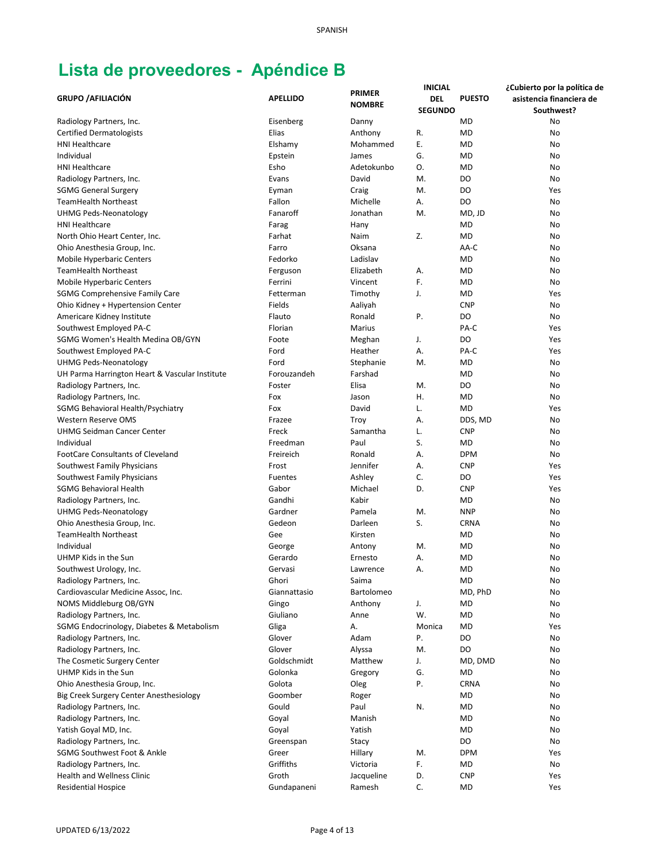|                                                |                    |                                | <b>INICIAL</b> |               | ¿Cubierto por la política de |
|------------------------------------------------|--------------------|--------------------------------|----------------|---------------|------------------------------|
| <b>GRUPO / AFILIACIÓN</b>                      | <b>APELLIDO</b>    | <b>PRIMER</b><br><b>NOMBRE</b> | <b>DEL</b>     | <b>PUESTO</b> | asistencia financiera de     |
|                                                |                    |                                | <b>SEGUNDO</b> |               | Southwest?                   |
| Radiology Partners, Inc.                       | Eisenberg          | Danny                          |                | <b>MD</b>     | No                           |
| <b>Certified Dermatologists</b>                | Elias              | Anthony                        | R.             | <b>MD</b>     | No                           |
| <b>HNI Healthcare</b>                          | Elshamy            | Mohammed                       | Ε.             | <b>MD</b>     | No                           |
| Individual                                     | Epstein            | James                          | G.             | <b>MD</b>     | No                           |
| <b>HNI Healthcare</b>                          | Esho               | Adetokunbo                     | O.             | <b>MD</b>     | No                           |
| Radiology Partners, Inc.                       | Evans              | David                          | M.             | DO            | No                           |
| <b>SGMG General Surgery</b>                    | Eyman              | Craig                          | M.             | DO            | Yes                          |
| <b>TeamHealth Northeast</b>                    | Fallon             | Michelle                       | А.             | DO            | No                           |
| UHMG Peds-Neonatology                          | Fanaroff           | Jonathan                       | M.             | MD, JD        | No                           |
| <b>HNI Healthcare</b>                          | Farag              | Hany                           |                | <b>MD</b>     | No                           |
| North Ohio Heart Center, Inc.                  | Farhat             | Naim                           | Z.             | <b>MD</b>     | No                           |
| Ohio Anesthesia Group, Inc.                    | Farro              | Oksana                         |                | AA-C          | No                           |
| <b>Mobile Hyperbaric Centers</b>               | Fedorko            | Ladislav                       |                | <b>MD</b>     | No                           |
| <b>TeamHealth Northeast</b>                    | Ferguson           | Elizabeth                      | Α.             | <b>MD</b>     | No                           |
| Mobile Hyperbaric Centers                      | Ferrini            | Vincent                        | F.             | <b>MD</b>     | No                           |
| <b>SGMG Comprehensive Family Care</b>          | Fetterman          | Timothy                        | J.             | <b>MD</b>     | Yes                          |
| Ohio Kidney + Hypertension Center              | Fields             | Aaliyah                        |                | <b>CNP</b>    | No                           |
| Americare Kidney Institute                     | Flauto             | Ronald                         | Ρ.             | DO            | No                           |
| Southwest Employed PA-C                        | Florian            | Marius                         |                | PA-C          | Yes                          |
| SGMG Women's Health Medina OB/GYN              | Foote              | Meghan                         | J.             | DO            | Yes                          |
| Southwest Employed PA-C                        | Ford               | Heather                        | А.             | PA-C          | Yes                          |
| UHMG Peds-Neonatology                          | Ford               | Stephanie                      | M.             | <b>MD</b>     | No                           |
| UH Parma Harrington Heart & Vascular Institute | Forouzandeh        | Farshad                        |                | <b>MD</b>     | No                           |
| Radiology Partners, Inc.                       | Foster             | Elisa                          | M.             | DO            | No                           |
| Radiology Partners, Inc.                       | Fox                | Jason                          | Η.             | <b>MD</b>     | No                           |
| SGMG Behavioral Health/Psychiatry              | Fox                | David                          | L.             | <b>MD</b>     | Yes                          |
| Western Reserve OMS                            | Frazee             | Troy                           | Α.             | DDS, MD       | No                           |
| UHMG Seidman Cancer Center                     | Freck              | Samantha                       | L.             | <b>CNP</b>    | No                           |
| Individual                                     | Freedman           | Paul                           | S.             | <b>MD</b>     | No                           |
| <b>FootCare Consultants of Cleveland</b>       | Freireich          | Ronald                         | А.             | <b>DPM</b>    | No                           |
| Southwest Family Physicians                    | Frost              | Jennifer                       | А.             | <b>CNP</b>    | Yes                          |
| Southwest Family Physicians                    | Fuentes            | Ashley                         | C.             | DO            | Yes                          |
| <b>SGMG Behavioral Health</b>                  | Gabor              | Michael                        | D.             | <b>CNP</b>    | Yes                          |
| Radiology Partners, Inc.                       | Gandhi             | Kabir                          |                | <b>MD</b>     | No                           |
| <b>UHMG Peds-Neonatology</b>                   | Gardner            | Pamela                         | M.             | <b>NNP</b>    | No                           |
| Ohio Anesthesia Group, Inc.                    | Gedeon             | Darleen                        | S.             | <b>CRNA</b>   |                              |
|                                                |                    |                                |                |               | No                           |
| <b>TeamHealth Northeast</b><br>Individual      | Gee                | Kirsten                        |                | MD            | No                           |
|                                                | George             | Antony                         | M.             | <b>MD</b>     | No                           |
| UHMP Kids in the Sun                           | Gerardo<br>Gervasi | Ernesto                        | А.             | <b>MD</b>     | No                           |
| Southwest Urology, Inc.                        |                    | Lawrence                       | А.             | <b>MD</b>     | No                           |
| Radiology Partners, Inc.                       | Ghori              | Saima                          |                | <b>MD</b>     | No                           |
| Cardiovascular Medicine Assoc, Inc.            | Giannattasio       | Bartolomeo                     |                | MD, PhD       | No                           |
| NOMS Middleburg OB/GYN                         | Gingo              | Anthony                        | J.             | MD            | No                           |
| Radiology Partners, Inc.                       | Giuliano           | Anne                           | W.             | <b>MD</b>     | No                           |
| SGMG Endocrinology, Diabetes & Metabolism      | Gliga              | А.                             | Monica         | MD            | Yes                          |
| Radiology Partners, Inc.                       | Glover             | Adam                           | Ρ.             | DO            | No                           |
| Radiology Partners, Inc.                       | Glover             | Alyssa                         | M.             | DO            | No                           |
| The Cosmetic Surgery Center                    | Goldschmidt        | Matthew                        | J.             | MD, DMD       | No                           |
| UHMP Kids in the Sun                           | Golonka            | Gregory                        | G.             | MD            | No                           |
| Ohio Anesthesia Group, Inc.                    | Golota             | Oleg                           | Ρ.             | <b>CRNA</b>   | No                           |
| Big Creek Surgery Center Anesthesiology        | Goomber            | Roger                          |                | MD            | No                           |
| Radiology Partners, Inc.                       | Gould              | Paul                           | N.             | <b>MD</b>     | No                           |
| Radiology Partners, Inc.                       | Goyal              | Manish                         |                | <b>MD</b>     | No                           |
| Yatish Goyal MD, Inc.                          | Goyal              | Yatish                         |                | <b>MD</b>     | No                           |
| Radiology Partners, Inc.                       | Greenspan          | Stacy                          |                | DO            | No                           |
| SGMG Southwest Foot & Ankle                    | Greer              | Hillary                        | M.             | <b>DPM</b>    | Yes                          |
| Radiology Partners, Inc.                       | Griffiths          | Victoria                       | F.             | MD            | No                           |
| <b>Health and Wellness Clinic</b>              | Groth              | Jacqueline                     | D.             | <b>CNP</b>    | Yes                          |
| <b>Residential Hospice</b>                     | Gundapaneni        | Ramesh                         | C.             | <b>MD</b>     | Yes                          |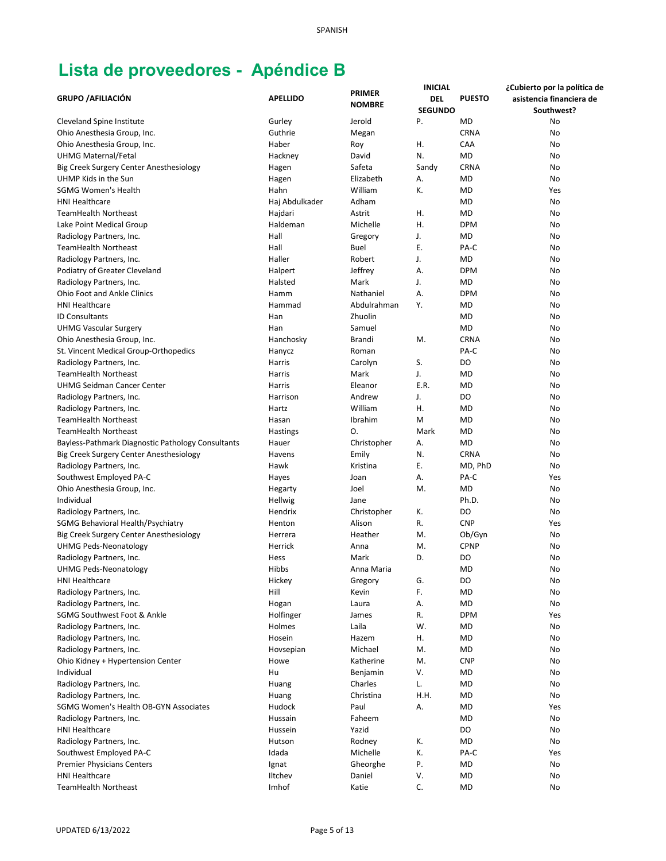|                                                   |                 |                    | <b>INICIAL</b> |               | ¿Cubierto por la política de |
|---------------------------------------------------|-----------------|--------------------|----------------|---------------|------------------------------|
| <b>GRUPO / AFILIACIÓN</b>                         | <b>APELLIDO</b> | <b>PRIMER</b>      | DEL            | <b>PUESTO</b> | asistencia financiera de     |
|                                                   |                 | <b>NOMBRE</b>      | <b>SEGUNDO</b> |               | Southwest?                   |
| <b>Cleveland Spine Institute</b>                  | Gurley          | Jerold             | Ρ.             | <b>MD</b>     | No                           |
| Ohio Anesthesia Group, Inc.                       | Guthrie         | Megan              |                | <b>CRNA</b>   | No                           |
| Ohio Anesthesia Group, Inc.                       | Haber           | Roy                | Η.             | CAA           | No                           |
| <b>UHMG Maternal/Fetal</b>                        | Hackney         | David              | N.             | <b>MD</b>     | No                           |
| Big Creek Surgery Center Anesthesiology           | Hagen           | Safeta             | Sandy          | <b>CRNA</b>   | No                           |
| UHMP Kids in the Sun                              |                 | Elizabeth          |                | <b>MD</b>     | No                           |
| <b>SGMG Women's Health</b>                        | Hagen           | William            | А.<br>К.       |               |                              |
|                                                   | Hahn            |                    |                | <b>MD</b>     | Yes                          |
| <b>HNI Healthcare</b>                             | Haj Abdulkader  | Adham              |                | <b>MD</b>     | No                           |
| <b>TeamHealth Northeast</b>                       | Hajdari         | Astrit             | Η.             | <b>MD</b>     | No                           |
| Lake Point Medical Group                          | Haldeman        | Michelle           | Η.             | <b>DPM</b>    | No                           |
| Radiology Partners, Inc.                          | Hall            | Gregory            | J.             | MD            | No                           |
| <b>TeamHealth Northeast</b>                       | Hall            | Buel               | Ε.             | PA-C          | No                           |
| Radiology Partners, Inc.                          | Haller          | Robert             | J.             | <b>MD</b>     | No                           |
| Podiatry of Greater Cleveland                     | Halpert         | Jeffrey            | Α.             | <b>DPM</b>    | No                           |
| Radiology Partners, Inc.                          | Halsted         | Mark               | J.             | <b>MD</b>     | No                           |
| <b>Ohio Foot and Ankle Clinics</b>                | Hamm            | Nathaniel          | Α.             | <b>DPM</b>    | No                           |
| <b>HNI Healthcare</b>                             | Hammad          | Abdulrahman        | Υ.             | <b>MD</b>     | No                           |
| <b>ID Consultants</b>                             | Han             | Zhuolin            |                | <b>MD</b>     | No                           |
| <b>UHMG Vascular Surgery</b>                      | Han             | Samuel             |                | <b>MD</b>     | No                           |
| Ohio Anesthesia Group, Inc.                       | Hanchosky       | <b>Brandi</b>      | M.             | <b>CRNA</b>   | No                           |
| St. Vincent Medical Group-Orthopedics             | Hanycz          | Roman              |                | PA-C          | No                           |
| Radiology Partners, Inc.                          | Harris          | Carolyn            | S.             | DO            | No                           |
| <b>TeamHealth Northeast</b>                       | Harris          | Mark               | J.             | <b>MD</b>     | No                           |
| <b>UHMG Seidman Cancer Center</b>                 | Harris          | Eleanor            | E.R.           | <b>MD</b>     | No                           |
| Radiology Partners, Inc.                          | Harrison        | Andrew             | J.             | DO            | No                           |
| Radiology Partners, Inc.                          | Hartz           | William            | Η.             | <b>MD</b>     | No                           |
| <b>TeamHealth Northeast</b>                       | Hasan           | Ibrahim            | M              | <b>MD</b>     | No                           |
| <b>TeamHealth Northeast</b>                       | <b>Hastings</b> | Ο.                 | Mark           | <b>MD</b>     | No                           |
| Bayless-Pathmark Diagnostic Pathology Consultants | Hauer           | Christopher        | А.             | <b>MD</b>     | No                           |
| Big Creek Surgery Center Anesthesiology           | Havens          | Emily              | N.             | <b>CRNA</b>   | No                           |
| Radiology Partners, Inc.                          | Hawk            | Kristina           | Ε.             | MD, PhD       | No                           |
| Southwest Employed PA-C                           | Hayes           | Joan               | А.             | PA-C          | Yes                          |
| Ohio Anesthesia Group, Inc.                       | Hegarty         | Joel               | M.             | <b>MD</b>     | No                           |
| Individual                                        | Hellwig         | Jane               |                | Ph.D.         | No                           |
| Radiology Partners, Inc.                          | Hendrix         | Christopher        | К.             | DO            | No                           |
| SGMG Behavioral Health/Psychiatry                 | Henton          | Alison             | R.             | <b>CNP</b>    | Yes                          |
| Big Creek Surgery Center Anesthesiology           | Herrera         | Heather            | M.             | Ob/Gyn        | No                           |
|                                                   | Herrick         |                    | M.             | <b>CPNP</b>   |                              |
| <b>UHMG Peds-Neonatology</b>                      |                 | Anna               | D.             |               | No                           |
| Radiology Partners, Inc.                          | Hess            | Mark<br>Anna Maria |                | DO            | No                           |
| <b>UHMG Peds-Neonatology</b>                      | Hibbs           |                    |                | <b>MD</b>     | No                           |
| <b>HNI Healthcare</b>                             | Hickey          | Gregory            | G.             | DO            | No                           |
| Radiology Partners, Inc.                          | Hill            | Kevin              | F.             | MD            | No                           |
| Radiology Partners, Inc.                          | Hogan           | Laura              | А.             | <b>MD</b>     | No                           |
| SGMG Southwest Foot & Ankle                       | Holfinger       | James              | R.             | <b>DPM</b>    | Yes                          |
| Radiology Partners, Inc.                          | Holmes          | Laila              | W.             | MD            | No                           |
| Radiology Partners, Inc.                          | Hosein          | Hazem              | Η.             | MD            | No                           |
| Radiology Partners, Inc.                          | Hovsepian       | Michael            | M.             | MD            | No                           |
| Ohio Kidney + Hypertension Center                 | Howe            | Katherine          | M.             | <b>CNP</b>    | No                           |
| Individual                                        | Hu              | Benjamin           | V.             | MD            | No                           |
| Radiology Partners, Inc.                          | Huang           | Charles            | L.             | <b>MD</b>     | No                           |
| Radiology Partners, Inc.                          | Huang           | Christina          | H.H.           | MD            | No                           |
| SGMG Women's Health OB-GYN Associates             | Hudock          | Paul               | Α.             | <b>MD</b>     | Yes                          |
| Radiology Partners, Inc.                          | Hussain         | Faheem             |                | <b>MD</b>     | No                           |
| <b>HNI Healthcare</b>                             | Hussein         | Yazid              |                | DO            | No                           |
| Radiology Partners, Inc.                          | Hutson          | Rodney             | К.             | <b>MD</b>     | No                           |
| Southwest Employed PA-C                           | Idada           | Michelle           | К.             | PA-C          | Yes                          |
| Premier Physicians Centers                        | Ignat           | Gheorghe           | Ρ.             | <b>MD</b>     | No                           |
| <b>HNI Healthcare</b>                             | Iltchev         | Daniel             | V.             | <b>MD</b>     | No                           |
| <b>TeamHealth Northeast</b>                       | Imhof           | Katie              | C.             | <b>MD</b>     | No                           |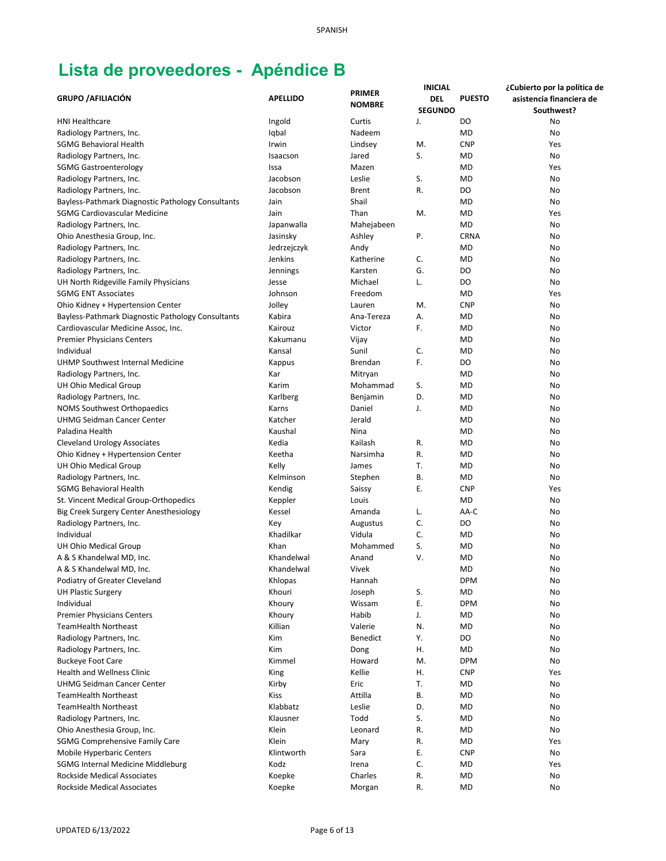|                                                   |                 |               | <b>INICIAL</b> |               | ¿Cubierto por la política de |
|---------------------------------------------------|-----------------|---------------|----------------|---------------|------------------------------|
| <b>GRUPO / AFILIACIÓN</b>                         | <b>APELLIDO</b> | <b>PRIMER</b> | DEL            | <b>PUESTO</b> | asistencia financiera de     |
|                                                   |                 | <b>NOMBRE</b> | <b>SEGUNDO</b> |               | Southwest?                   |
| <b>HNI Healthcare</b>                             | Ingold          | Curtis        | J.             | DO            | No                           |
| Radiology Partners, Inc.                          | Iqbal           | Nadeem        |                | <b>MD</b>     | No                           |
| <b>SGMG Behavioral Health</b>                     | Irwin           | Lindsey       | M.             | <b>CNP</b>    | Yes                          |
| Radiology Partners, Inc.                          | Isaacson        | Jared         | S.             | <b>MD</b>     | No                           |
| <b>SGMG Gastroenterology</b>                      | Issa            | Mazen         |                | <b>MD</b>     | Yes                          |
| Radiology Partners, Inc.                          | Jacobson        | Leslie        | S.             | <b>MD</b>     | No                           |
| Radiology Partners, Inc.                          | Jacobson        | <b>Brent</b>  | R.             | DO            | No                           |
| Bayless-Pathmark Diagnostic Pathology Consultants | Jain            | Shail         |                | <b>MD</b>     | No                           |
| <b>SGMG Cardiovascular Medicine</b>               | Jain            | Than          | M.             | <b>MD</b>     | Yes                          |
| Radiology Partners, Inc.                          | Japanwalla      | Mahejabeen    |                | <b>MD</b>     | No                           |
| Ohio Anesthesia Group, Inc.                       | Jasinsky        | Ashley        | Ρ.             | <b>CRNA</b>   | No                           |
| Radiology Partners, Inc.                          | Jedrzejczyk     | Andy          |                | MD            | No                           |
| Radiology Partners, Inc.                          | Jenkins         | Katherine     | C.             | <b>MD</b>     | No                           |
| Radiology Partners, Inc.                          | Jennings        | Karsten       | G.             | DO            | No                           |
| UH North Ridgeville Family Physicians             | Jesse           | Michael       | L.             | DO            | No                           |
| <b>SGMG ENT Associates</b>                        | Johnson         | Freedom       |                | <b>MD</b>     | Yes                          |
| Ohio Kidney + Hypertension Center                 | Jolley          | Lauren        | M.             | <b>CNP</b>    | No                           |
| Bayless-Pathmark Diagnostic Pathology Consultants | Kabira          | Ana-Tereza    | Α.             | <b>MD</b>     | No                           |
| Cardiovascular Medicine Assoc, Inc.               | Kairouz         | Victor        | F.             | MD            | No                           |
| <b>Premier Physicians Centers</b>                 | Kakumanu        | Vijay         |                | MD            | No                           |
| Individual                                        | Kansal          | Sunil         | C.             | <b>MD</b>     | No                           |
| UHMP Southwest Internal Medicine                  | Kappus          | Brendan       | F.             | DO            | No                           |
| Radiology Partners, Inc.                          | Kar             | Mitryan       |                | MD            | No                           |
| UH Ohio Medical Group                             | Karim           | Mohammad      | S.             | <b>MD</b>     | No                           |
| Radiology Partners, Inc.                          | Karlberg        | Benjamin      | D.             | <b>MD</b>     | No                           |
| NOMS Southwest Orthopaedics                       | Karns           | Daniel        | J.             | <b>MD</b>     | No                           |
| UHMG Seidman Cancer Center                        | Katcher         | Jerald        |                | <b>MD</b>     | No                           |
| Paladina Health                                   | Kaushal         | Nina          |                | <b>MD</b>     | No                           |
| <b>Cleveland Urology Associates</b>               | Kedia           | Kailash       | R.             | <b>MD</b>     | No                           |
| Ohio Kidney + Hypertension Center                 | Keetha          | Narsimha      | R.             | <b>MD</b>     | No                           |
| UH Ohio Medical Group                             | Kelly           | James         | Т.             | <b>MD</b>     | No                           |
| Radiology Partners, Inc.                          | Kelminson       | Stephen       | В.             | <b>MD</b>     | No                           |
| SGMG Behavioral Health                            | Kendig          | Saissy        | Ε.             | <b>CNP</b>    | Yes                          |
| St. Vincent Medical Group-Orthopedics             | Keppler         | Louis         |                | <b>MD</b>     | No                           |
| Big Creek Surgery Center Anesthesiology           | Kessel          | Amanda        | L.             | AA-C          | No                           |
| Radiology Partners, Inc.                          | Key             | Augustus      | C.             | DO            | No                           |
| Individual                                        | Khadilkar       | Vidula        | C.             | MD            | No                           |
| UH Ohio Medical Group                             | Khan            | Mohammed      | S.             | MD            | No                           |
| A & S Khandelwal MD, Inc.                         | Khandelwal      | Anand         | V.             | <b>MD</b>     | No                           |
| A & S Khandelwal MD, Inc.                         | Khandelwal      | Vivek         |                | <b>MD</b>     | No                           |
| Podiatry of Greater Cleveland                     | Khlopas         | Hannah        |                | <b>DPM</b>    | No                           |
| <b>UH Plastic Surgery</b>                         | Khouri          | Joseph        | S.             | MD            | No                           |
| Individual                                        | Khoury          | Wissam        | Ε.             | <b>DPM</b>    | No                           |
| <b>Premier Physicians Centers</b>                 | Khoury          | Habib         | J.             | <b>MD</b>     | No                           |
| <b>TeamHealth Northeast</b>                       | Killian         | Valerie       | N.             | MD            | No                           |
| Radiology Partners, Inc.                          | Kim             | Benedict      | Υ.             | DO            | No                           |
| Radiology Partners, Inc.                          | Kim             | Dong          | Η.             | MD            | No                           |
| <b>Buckeye Foot Care</b>                          | Kimmel          | Howard        | M.             | <b>DPM</b>    | No                           |
| Health and Wellness Clinic                        | King            | Kellie        | Η.             | <b>CNP</b>    | Yes                          |
| <b>UHMG Seidman Cancer Center</b>                 | Kirby           | Eric          | T.             | MD            | No                           |
| <b>TeamHealth Northeast</b>                       | <b>Kiss</b>     | Attilla       | В.             | <b>MD</b>     | No                           |
| <b>TeamHealth Northeast</b>                       | Klabbatz        | Leslie        | D.             | <b>MD</b>     | No                           |
| Radiology Partners, Inc.                          | Klausner        | Todd          | S.             | <b>MD</b>     | No                           |
| Ohio Anesthesia Group, Inc.                       | Klein           | Leonard       | R.             | <b>MD</b>     | No                           |
| <b>SGMG Comprehensive Family Care</b>             | Klein           | Mary          | R.             | <b>MD</b>     | Yes                          |
| <b>Mobile Hyperbaric Centers</b>                  | Klintworth      | Sara          | Е.             | <b>CNP</b>    | No                           |
| <b>SGMG Internal Medicine Middleburg</b>          | Kodz            | Irena         | C.             | MD            | Yes                          |
| Rockside Medical Associates                       | Koepke          | Charles       | R.             | <b>MD</b>     | No                           |
| <b>Rockside Medical Associates</b>                | Koepke          | Morgan        | R.             | <b>MD</b>     | No                           |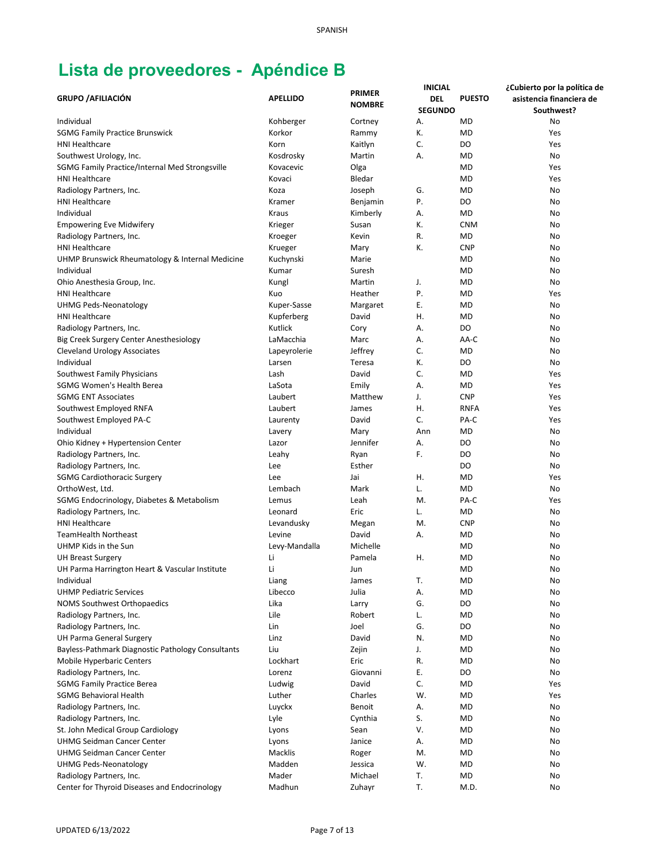|                                                   |                 |               | <b>INICIAL</b> |               | ¿Cubierto por la política de |
|---------------------------------------------------|-----------------|---------------|----------------|---------------|------------------------------|
| <b>GRUPO / AFILIACIÓN</b>                         | <b>APELLIDO</b> | <b>PRIMER</b> | <b>DEL</b>     | <b>PUESTO</b> | asistencia financiera de     |
|                                                   |                 | <b>NOMBRE</b> | <b>SEGUNDO</b> |               | Southwest?                   |
| Individual                                        | Kohberger       | Cortney       | А.             | <b>MD</b>     | No                           |
| <b>SGMG Family Practice Brunswick</b>             | Korkor          | Rammy         | К.             | <b>MD</b>     | Yes                          |
| <b>HNI Healthcare</b>                             | Korn            | Kaitlyn       | C.             | DO            | Yes                          |
| Southwest Urology, Inc.                           | Kosdrosky       | Martin        | А.             | <b>MD</b>     | No                           |
| SGMG Family Practice/Internal Med Strongsville    | Kovacevic       | Olga          |                | <b>MD</b>     | Yes                          |
| <b>HNI Healthcare</b>                             | Kovaci          | Bledar        |                | <b>MD</b>     | Yes                          |
| Radiology Partners, Inc.                          | Koza            | Joseph        | G.             | <b>MD</b>     | No                           |
| <b>HNI Healthcare</b>                             | Kramer          |               | Ρ.             | DO            | No                           |
|                                                   |                 | Benjamin      |                |               |                              |
| Individual                                        | Kraus           | Kimberly      | Α.             | <b>MD</b>     | No                           |
| <b>Empowering Eve Midwifery</b>                   | Krieger         | Susan         | К.             | <b>CNM</b>    | No                           |
| Radiology Partners, Inc.                          | Kroeger         | Kevin         | R.             | <b>MD</b>     | No                           |
| <b>HNI Healthcare</b>                             | Krueger         | Mary          | К.             | <b>CNP</b>    | No                           |
| UHMP Brunswick Rheumatology & Internal Medicine   | Kuchynski       | Marie         |                | <b>MD</b>     | No                           |
| Individual                                        | Kumar           | Suresh        |                | <b>MD</b>     | No                           |
| Ohio Anesthesia Group, Inc.                       | Kungl           | Martin        | J.             | <b>MD</b>     | No                           |
| <b>HNI Healthcare</b>                             | Kuo             | Heather       | Ρ.             | <b>MD</b>     | Yes                          |
| <b>UHMG Peds-Neonatology</b>                      | Kuper-Sasse     | Margaret      | Ε.             | <b>MD</b>     | No                           |
| <b>HNI Healthcare</b>                             | Kupferberg      | David         | Η.             | <b>MD</b>     | No                           |
| Radiology Partners, Inc.                          | Kutlick         | Cory          | Α.             | DO            | No                           |
| Big Creek Surgery Center Anesthesiology           | LaMacchia       | Marc          | Α.             | AA-C          | No                           |
| <b>Cleveland Urology Associates</b>               | Lapeyrolerie    | Jeffrey       | C.             | <b>MD</b>     | No                           |
| Individual                                        | Larsen          | Teresa        | К.             | DO            | No                           |
| Southwest Family Physicians                       | Lash            | David         | C.             | <b>MD</b>     | Yes                          |
| SGMG Women's Health Berea                         | LaSota          | Emily         | А.             | <b>MD</b>     | Yes                          |
| <b>SGMG ENT Associates</b>                        | Laubert         | Matthew       | J.             | <b>CNP</b>    | Yes                          |
| Southwest Employed RNFA                           | Laubert         | James         | Η.             | <b>RNFA</b>   | Yes                          |
| Southwest Employed PA-C                           | Laurenty        | David         | C.             | PA-C          | Yes                          |
| Individual                                        | Lavery          | Mary          | Ann            | MD            | No                           |
|                                                   | Lazor           | Jennifer      | Α.             | DO            | No                           |
| Ohio Kidney + Hypertension Center                 |                 |               |                |               |                              |
| Radiology Partners, Inc.                          | Leahy           | Ryan          | F.             | DO            | No                           |
| Radiology Partners, Inc.                          | Lee             | Esther        |                | DO            | No                           |
| <b>SGMG Cardiothoracic Surgery</b>                | Lee             | Jai           | Η.             | <b>MD</b>     | Yes                          |
| OrthoWest, Ltd.                                   | Lembach         | Mark          | L.             | <b>MD</b>     | No                           |
| SGMG Endocrinology, Diabetes & Metabolism         | Lemus           | Leah          | M.             | PA-C          | Yes                          |
| Radiology Partners, Inc.                          | Leonard         | Eric          | L.             | <b>MD</b>     | No                           |
| <b>HNI Healthcare</b>                             | Levandusky      | Megan         | M.             | <b>CNP</b>    | No                           |
| <b>TeamHealth Northeast</b>                       | Levine          | David         | Α.             | MD            | No                           |
| UHMP Kids in the Sun                              | Levy-Mandalla   | Michelle      |                | MD            | No                           |
| <b>UH Breast Surgery</b>                          | Li              | Pamela        | Η.             | <b>MD</b>     | No                           |
| UH Parma Harrington Heart & Vascular Institute    | Li              | Jun           |                | <b>MD</b>     | No                           |
| Individual                                        | Liang           | James         | Т.             | <b>MD</b>     | No                           |
| <b>UHMP Pediatric Services</b>                    | Libecco         | Julia         | А.             | MD            | No                           |
| <b>NOMS Southwest Orthopaedics</b>                | Lika            | Larry         | G.             | DO            | No                           |
| Radiology Partners, Inc.                          | Lile            | Robert        | L.             | MD            | No                           |
| Radiology Partners, Inc.                          | Lin             | Joel          | G.             | DO            | No                           |
| UH Parma General Surgery                          | Linz            | David         | N.             | MD            | No                           |
| Bayless-Pathmark Diagnostic Pathology Consultants | Liu             | Zejin         | J.             | MD            | No                           |
| <b>Mobile Hyperbaric Centers</b>                  | Lockhart        | Eric          | R.             | MD            | No                           |
| Radiology Partners, Inc.                          | Lorenz          | Giovanni      | Ε.             | DO            | No                           |
| <b>SGMG Family Practice Berea</b>                 | Ludwig          | David         | C.             | MD            | Yes                          |
| <b>SGMG Behavioral Health</b>                     | Luther          | Charles       | W.             | MD            | Yes                          |
| Radiology Partners, Inc.                          | Luyckx          | Benoit        | Α.             | <b>MD</b>     | No                           |
| Radiology Partners, Inc.                          | Lyle            | Cynthia       | S.             | <b>MD</b>     | No                           |
| St. John Medical Group Cardiology                 | Lyons           | Sean          | V.             | MD            | No                           |
| <b>UHMG Seidman Cancer Center</b>                 | Lyons           | Janice        | Α.             | <b>MD</b>     | No                           |
| <b>UHMG Seidman Cancer Center</b>                 | Macklis         |               | M.             | <b>MD</b>     |                              |
|                                                   |                 | Roger         |                |               | No                           |
| <b>UHMG Peds-Neonatology</b>                      | Madden          | Jessica       | W.             | <b>MD</b>     | No                           |
| Radiology Partners, Inc.                          | Mader           | Michael       | T.             | <b>MD</b>     | No                           |
| Center for Thyroid Diseases and Endocrinology     | Madhun          | Zuhayr        | Т.             | M.D.          | No                           |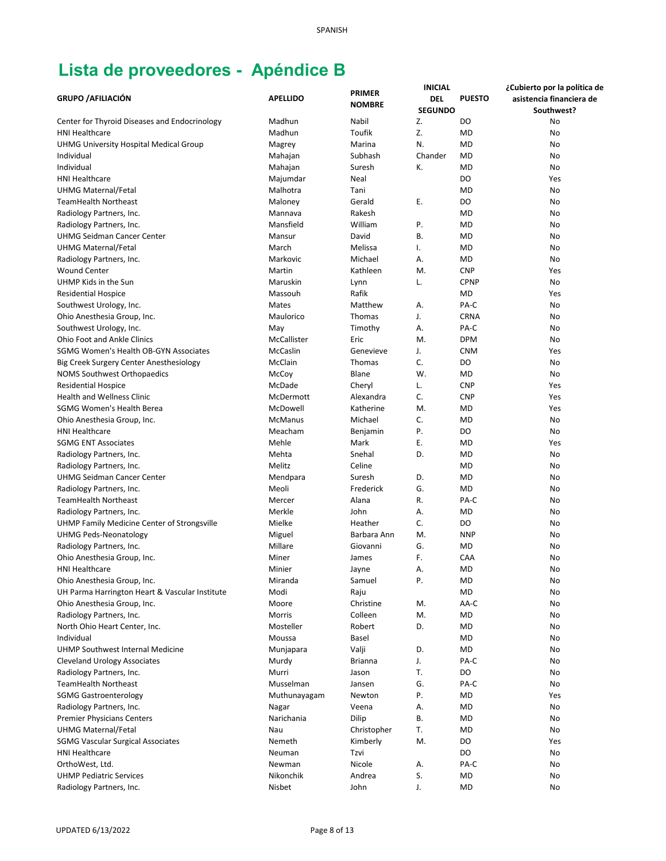|                                                |                    | <b>PRIMER</b>  | <b>INICIAL</b> |               | ¿Cubierto por la política de |
|------------------------------------------------|--------------------|----------------|----------------|---------------|------------------------------|
| <b>GRUPO / AFILIACIÓN</b>                      | <b>APELLIDO</b>    | <b>NOMBRE</b>  | DEL            | <b>PUESTO</b> | asistencia financiera de     |
|                                                |                    |                | <b>SEGUNDO</b> |               | Southwest?                   |
| Center for Thyroid Diseases and Endocrinology  | Madhun             | Nabil          | Z.             | DO            | No                           |
| <b>HNI Healthcare</b>                          | Madhun             | Toufik         | Z.             | <b>MD</b>     | No                           |
| <b>UHMG University Hospital Medical Group</b>  | Magrey             | Marina         | N.             | <b>MD</b>     | No                           |
| Individual                                     | Mahajan            | Subhash        | Chander        | <b>MD</b>     | No                           |
| Individual                                     | Mahajan            | Suresh         | К.             | <b>MD</b>     | No                           |
| <b>HNI Healthcare</b>                          | Majumdar           | Neal           |                | DO            | Yes                          |
| <b>UHMG Maternal/Fetal</b>                     | Malhotra           | Tani           |                | <b>MD</b>     | No                           |
| <b>TeamHealth Northeast</b>                    | Maloney            | Gerald         | Ε.             | DO            | No                           |
| Radiology Partners, Inc.                       | Mannava            | Rakesh         |                | <b>MD</b>     | No                           |
| Radiology Partners, Inc.                       | Mansfield          | William        | Ρ.             | <b>MD</b>     | No                           |
| <b>UHMG Seidman Cancer Center</b>              | Mansur             | David          | В.             | <b>MD</b>     | No                           |
| UHMG Maternal/Fetal                            | March              | Melissa        | Ι.             | MD            | No                           |
| Radiology Partners, Inc.                       | Markovic           | Michael        | А.             | <b>MD</b>     | No                           |
| <b>Wound Center</b>                            | Martin             | Kathleen       | M.             | <b>CNP</b>    | Yes                          |
| UHMP Kids in the Sun                           | Maruskin           | Lynn           | L.             | <b>CPNP</b>   | No                           |
| <b>Residential Hospice</b>                     | Massouh            | Rafik          |                | <b>MD</b>     | Yes                          |
| Southwest Urology, Inc.                        | Mates              | Matthew        | Α.             | PA-C          | No                           |
| Ohio Anesthesia Group, Inc.                    | Maulorico          | Thomas         | J.             | <b>CRNA</b>   | No                           |
| Southwest Urology, Inc.                        | May                | Timothy        | А.             | PA-C          | No                           |
| <b>Ohio Foot and Ankle Clinics</b>             | <b>McCallister</b> | Eric           | M.             | <b>DPM</b>    | No                           |
| SGMG Women's Health OB-GYN Associates          | McCaslin           | Genevieve      | J.             | <b>CNM</b>    | Yes                          |
| Big Creek Surgery Center Anesthesiology        | McClain            | Thomas         | C.             | DO            | No                           |
| NOMS Southwest Orthopaedics                    | McCoy              | Blane          | W.             | MD            | No                           |
| <b>Residential Hospice</b>                     | McDade             | Cheryl         | L.             | <b>CNP</b>    | Yes                          |
| <b>Health and Wellness Clinic</b>              | McDermott          | Alexandra      | C.             | <b>CNP</b>    | Yes                          |
| SGMG Women's Health Berea                      | McDowell           | Katherine      | M.             | <b>MD</b>     | Yes                          |
| Ohio Anesthesia Group, Inc.                    | <b>McManus</b>     | Michael        | C.             | MD            | No                           |
| <b>HNI Healthcare</b>                          | Meacham            | Benjamin       | Ρ.             | DO            | No                           |
| <b>SGMG ENT Associates</b>                     | Mehle              | Mark           | Ε.             | <b>MD</b>     | Yes                          |
| Radiology Partners, Inc.                       | Mehta              | Snehal         | D.             | <b>MD</b>     | No                           |
| Radiology Partners, Inc.                       | Melitz             | Celine         |                | <b>MD</b>     | No                           |
| <b>UHMG Seidman Cancer Center</b>              | Mendpara           | Suresh         | D.             | <b>MD</b>     | No                           |
| Radiology Partners, Inc.                       | Meoli              | Frederick      | G.             | <b>MD</b>     | No                           |
| <b>TeamHealth Northeast</b>                    | Mercer             | Alana          | R.             | PA-C          | No                           |
| Radiology Partners, Inc.                       | Merkle             | John           | А.             | <b>MD</b>     | No                           |
|                                                |                    |                |                |               |                              |
| UHMP Family Medicine Center of Strongsville    | Mielke             | Heather        | C.             | DO            | No                           |
| <b>UHMG Peds-Neonatology</b>                   | Miguel             | Barbara Ann    | M.             | <b>NNP</b>    | No                           |
| Radiology Partners, Inc.                       | Millare            | Giovanni       | G.             | MD            | No                           |
| Ohio Anesthesia Group, Inc.                    | Miner              | James          | F.             | CAA           | No                           |
| HNI Healthcare                                 | Minier             | Jayne          | А.             | <b>MD</b>     | No                           |
| Ohio Anesthesia Group, Inc.                    | Miranda            | Samuel         | Ρ.             | <b>MD</b>     | No                           |
| UH Parma Harrington Heart & Vascular Institute | Modi               | Raju           |                | MD            | No                           |
| Ohio Anesthesia Group, Inc.                    | Moore              | Christine      | M.             | AA-C          | No                           |
| Radiology Partners, Inc.                       | Morris             | Colleen        | M.             | MD            | No                           |
| North Ohio Heart Center, Inc.                  | Mosteller          | Robert         | D.             | <b>MD</b>     | No                           |
| Individual                                     | Moussa             | Basel          |                | MD            | No                           |
| UHMP Southwest Internal Medicine               | Munjapara          | Valji          | D.             | MD            | No                           |
| <b>Cleveland Urology Associates</b>            | Murdy              | <b>Brianna</b> | J.             | PA-C          | No                           |
| Radiology Partners, Inc.                       | Murri              | Jason          | Т.             | DO            | No                           |
| <b>TeamHealth Northeast</b>                    | Musselman          | Jansen         | G.             | PA-C          | No                           |
| <b>SGMG Gastroenterology</b>                   | Muthunayagam       | Newton         | Ρ.             | MD            | Yes                          |
| Radiology Partners, Inc.                       | Nagar              | Veena          | А.             | <b>MD</b>     | No                           |
| <b>Premier Physicians Centers</b>              | Narichania         | Dilip          | В.             | <b>MD</b>     | No                           |
| UHMG Maternal/Fetal                            | Nau                | Christopher    | Т.             | MD            | No                           |
| <b>SGMG Vascular Surgical Associates</b>       | Nemeth             | Kimberly       | M.             | DO            | Yes                          |
| <b>HNI Healthcare</b>                          | Neuman             | Tzvi           |                | DO            | No                           |
| OrthoWest, Ltd.                                | Newman             | Nicole         | А.             | PA-C          | No                           |
| <b>UHMP Pediatric Services</b>                 | Nikonchik          | Andrea         | S.             | <b>MD</b>     | No                           |
| Radiology Partners, Inc.                       | Nisbet             | John           | J.             | <b>MD</b>     | No                           |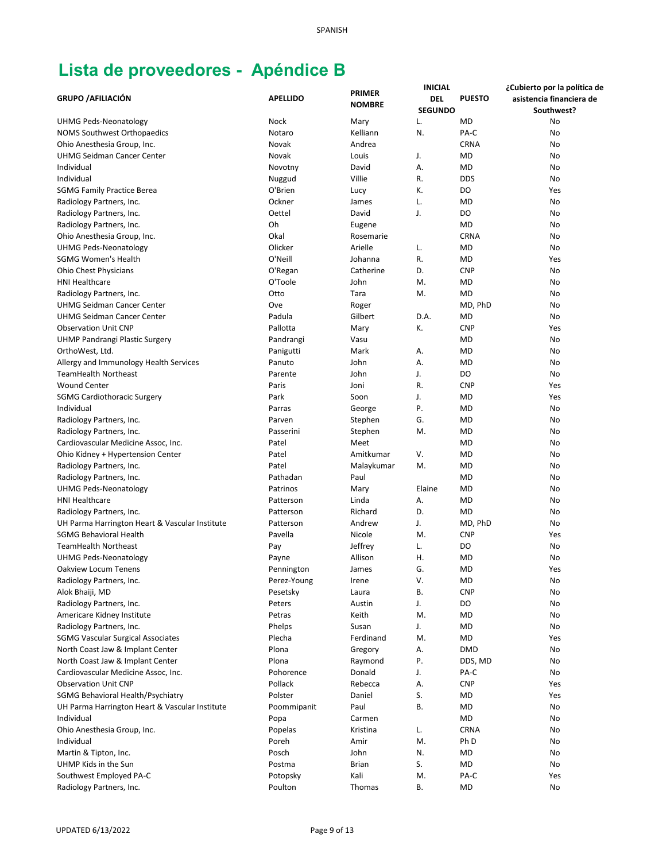| <b>NOMBRE</b><br><b>SEGUNDO</b><br>Southwest?<br><b>UHMG Peds-Neonatology</b><br>Nock<br>L.<br><b>MD</b><br>No<br>Mary<br>Kelliann<br>N.<br>PA-C<br><b>NOMS Southwest Orthopaedics</b><br>Notaro<br>No<br><b>CRNA</b><br>Ohio Anesthesia Group, Inc.<br>Novak<br>Andrea<br>No<br><b>UHMG Seidman Cancer Center</b><br>Novak<br>Louis<br>J.<br><b>MD</b><br>No<br>А.<br><b>MD</b><br>Individual<br>David<br>No<br>Novotny<br>Individual<br>Villie<br>R.<br><b>DDS</b><br>Nuggud<br>No<br>К.<br>O'Brien<br>DO<br><b>SGMG Family Practice Berea</b><br>Yes<br>Lucy<br>Ockner<br>L.<br><b>MD</b><br>Radiology Partners, Inc.<br>James<br>No<br>Oettel<br>J.<br>DO<br>Radiology Partners, Inc.<br>David<br>No<br>Oh<br><b>MD</b><br>No<br>Radiology Partners, Inc.<br>Eugene<br>Okal<br><b>CRNA</b><br>Ohio Anesthesia Group, Inc.<br>No<br>Rosemarie<br>Olicker<br>Arielle<br><b>UHMG Peds-Neonatology</b><br>L.<br><b>MD</b><br>No<br><b>SGMG Women's Health</b><br>O'Neill<br>R.<br><b>MD</b><br>Johanna<br>Yes<br>Catherine<br>D.<br><b>CNP</b><br><b>Ohio Chest Physicians</b><br>O'Regan<br>No<br>O'Toole<br>John<br><b>MD</b><br><b>HNI Healthcare</b><br>M.<br>No<br>Otto<br><b>MD</b><br>Radiology Partners, Inc.<br>Tara<br>M.<br>No<br><b>UHMG Seidman Cancer Center</b><br>Ove<br>MD, PhD<br>No<br>Roger<br>Padula<br>D.A.<br><b>UHMG Seidman Cancer Center</b><br>Gilbert<br>MD<br>No<br>К.<br><b>Observation Unit CNP</b><br>Pallotta<br>Mary<br><b>CNP</b><br>Yes<br><b>UHMP Pandrangi Plastic Surgery</b><br>Pandrangi<br>Vasu<br><b>MD</b><br>No<br>OrthoWest, Ltd.<br>Panigutti<br>Mark<br>Α.<br><b>MD</b><br>No<br>Allergy and Immunology Health Services<br>Panuto<br>John<br>А.<br><b>MD</b><br>No<br>J.<br>DO<br><b>TeamHealth Northeast</b><br>Parente<br>John<br>No<br><b>Wound Center</b><br>R.<br>Paris<br>Joni<br><b>CNP</b><br>Yes<br>Soon<br>J.<br><b>SGMG Cardiothoracic Surgery</b><br>Park<br><b>MD</b><br>Yes<br>Ρ.<br>Individual<br>Parras<br>George<br><b>MD</b><br>No<br>G.<br><b>MD</b><br>Radiology Partners, Inc.<br>Parven<br>Stephen<br>No<br>Radiology Partners, Inc.<br>Passerini<br>Stephen<br>M.<br><b>MD</b><br>No<br>Cardiovascular Medicine Assoc, Inc.<br>Patel<br>Meet<br><b>MD</b><br>No<br>V.<br><b>MD</b><br>Ohio Kidney + Hypertension Center<br>Patel<br>Amitkumar<br>No<br><b>MD</b><br>Patel<br>Malaykumar<br>M.<br>No<br>Radiology Partners, Inc.<br><b>MD</b><br>Radiology Partners, Inc.<br>Pathadan<br>Paul<br>No<br><b>MD</b><br>UHMG Peds-Neonatology<br>Patrinos<br>Mary<br>Elaine<br>No<br><b>HNI Healthcare</b><br><b>MD</b><br>Patterson<br>Linda<br>Α.<br>No<br>Richard<br>D.<br><b>MD</b><br>Patterson<br>No<br>Radiology Partners, Inc.<br>Andrew<br>J.<br>UH Parma Harrington Heart & Vascular Institute<br>MD, PhD<br>Patterson<br>No<br><b>SGMG Behavioral Health</b><br>Pavella<br>Nicole<br>M.<br><b>CNP</b><br>Yes<br>Jeffrey<br>L.<br>DO<br>TeamHealth Northeast<br>Pay<br>No<br>Allison<br>Η.<br><b>MD</b><br>UHMG Peds-Neonatology<br>Payne<br>No<br>G.<br><b>MD</b><br>Yes<br>Pennington<br>Oakview Locum Tenens<br>James<br>V.<br>Radiology Partners, Inc.<br>Perez-Young<br>MD<br>Irene<br>No<br>Alok Bhaiji, MD<br>В.<br><b>CNP</b><br>Pesetsky<br>Laura<br>No<br>DO<br>Radiology Partners, Inc.<br>Peters<br>Austin<br>J.<br>No<br>Keith<br>Americare Kidney Institute<br>Petras<br>M.<br>MD<br>No<br>J.<br>Radiology Partners, Inc.<br>Phelps<br>Susan<br>MD<br>No<br>Ferdinand<br>MD<br><b>SGMG Vascular Surgical Associates</b><br>Plecha<br>M.<br>Yes<br>North Coast Jaw & Implant Center<br>Plona<br>Gregory<br>А.<br><b>DMD</b><br>No<br>Ρ.<br>North Coast Jaw & Implant Center<br>Plona<br>Raymond<br>DDS, MD<br>No<br>J.<br>PA-C<br>Cardiovascular Medicine Assoc, Inc.<br>Pohorence<br>Donald<br>No<br><b>Observation Unit CNP</b><br>Pollack<br>Rebecca<br>Α.<br><b>CNP</b><br>Yes<br>S.<br>SGMG Behavioral Health/Psychiatry<br>Polster<br>Daniel<br>MD<br>Yes<br>Paul<br>В.<br>MD<br>UH Parma Harrington Heart & Vascular Institute<br>Poommipanit<br>No<br>Individual<br>MD<br>Popa<br>Carmen<br>No<br><b>CRNA</b><br>Ohio Anesthesia Group, Inc.<br>Popelas<br>Kristina<br>L.<br>No<br>Individual<br>M.<br>Ph D<br>Poreh<br>Amir<br>No<br>Posch<br>John<br>N.<br>MD<br>Martin & Tipton, Inc.<br>No<br>UHMP Kids in the Sun<br><b>Brian</b><br>S.<br>MD<br>Postma<br>No<br>Southwest Employed PA-C<br>Kali<br>PA-C<br>Potopsky<br>M.<br>Yes |                           |                 | <b>PRIMER</b> | <b>INICIAL</b> |               | ¿Cubierto por la política de |
|-----------------------------------------------------------------------------------------------------------------------------------------------------------------------------------------------------------------------------------------------------------------------------------------------------------------------------------------------------------------------------------------------------------------------------------------------------------------------------------------------------------------------------------------------------------------------------------------------------------------------------------------------------------------------------------------------------------------------------------------------------------------------------------------------------------------------------------------------------------------------------------------------------------------------------------------------------------------------------------------------------------------------------------------------------------------------------------------------------------------------------------------------------------------------------------------------------------------------------------------------------------------------------------------------------------------------------------------------------------------------------------------------------------------------------------------------------------------------------------------------------------------------------------------------------------------------------------------------------------------------------------------------------------------------------------------------------------------------------------------------------------------------------------------------------------------------------------------------------------------------------------------------------------------------------------------------------------------------------------------------------------------------------------------------------------------------------------------------------------------------------------------------------------------------------------------------------------------------------------------------------------------------------------------------------------------------------------------------------------------------------------------------------------------------------------------------------------------------------------------------------------------------------------------------------------------------------------------------------------------------------------------------------------------------------------------------------------------------------------------------------------------------------------------------------------------------------------------------------------------------------------------------------------------------------------------------------------------------------------------------------------------------------------------------------------------------------------------------------------------------------------------------------------------------------------------------------------------------------------------------------------------------------------------------------------------------------------------------------------------------------------------------------------------------------------------------------------------------------------------------------------------------------------------------------------------------------------------------------------------------------------------------------------------------------------------------------------------------------------------------------------------------------------------------------------------------------------------------------------------------------------------------------------------------------------------------------------------------------------------------------------------------------------------------------------------------------------------------------------------------------------------------------------------------------------------------------------------------------------------------------------------------------------------------------------------------------------------------------------------------------------------------------------------------------------------|---------------------------|-----------------|---------------|----------------|---------------|------------------------------|
|                                                                                                                                                                                                                                                                                                                                                                                                                                                                                                                                                                                                                                                                                                                                                                                                                                                                                                                                                                                                                                                                                                                                                                                                                                                                                                                                                                                                                                                                                                                                                                                                                                                                                                                                                                                                                                                                                                                                                                                                                                                                                                                                                                                                                                                                                                                                                                                                                                                                                                                                                                                                                                                                                                                                                                                                                                                                                                                                                                                                                                                                                                                                                                                                                                                                                                                                                                                                                                                                                                                                                                                                                                                                                                                                                                                                                                                                                                                                                                                                                                                                                                                                                                                                                                                                                                                                                                                                                                         | <b>GRUPO / AFILIACIÓN</b> | <b>APELLIDO</b> |               | <b>DEL</b>     | <b>PUESTO</b> | asistencia financiera de     |
|                                                                                                                                                                                                                                                                                                                                                                                                                                                                                                                                                                                                                                                                                                                                                                                                                                                                                                                                                                                                                                                                                                                                                                                                                                                                                                                                                                                                                                                                                                                                                                                                                                                                                                                                                                                                                                                                                                                                                                                                                                                                                                                                                                                                                                                                                                                                                                                                                                                                                                                                                                                                                                                                                                                                                                                                                                                                                                                                                                                                                                                                                                                                                                                                                                                                                                                                                                                                                                                                                                                                                                                                                                                                                                                                                                                                                                                                                                                                                                                                                                                                                                                                                                                                                                                                                                                                                                                                                                         |                           |                 |               |                |               |                              |
|                                                                                                                                                                                                                                                                                                                                                                                                                                                                                                                                                                                                                                                                                                                                                                                                                                                                                                                                                                                                                                                                                                                                                                                                                                                                                                                                                                                                                                                                                                                                                                                                                                                                                                                                                                                                                                                                                                                                                                                                                                                                                                                                                                                                                                                                                                                                                                                                                                                                                                                                                                                                                                                                                                                                                                                                                                                                                                                                                                                                                                                                                                                                                                                                                                                                                                                                                                                                                                                                                                                                                                                                                                                                                                                                                                                                                                                                                                                                                                                                                                                                                                                                                                                                                                                                                                                                                                                                                                         |                           |                 |               |                |               |                              |
|                                                                                                                                                                                                                                                                                                                                                                                                                                                                                                                                                                                                                                                                                                                                                                                                                                                                                                                                                                                                                                                                                                                                                                                                                                                                                                                                                                                                                                                                                                                                                                                                                                                                                                                                                                                                                                                                                                                                                                                                                                                                                                                                                                                                                                                                                                                                                                                                                                                                                                                                                                                                                                                                                                                                                                                                                                                                                                                                                                                                                                                                                                                                                                                                                                                                                                                                                                                                                                                                                                                                                                                                                                                                                                                                                                                                                                                                                                                                                                                                                                                                                                                                                                                                                                                                                                                                                                                                                                         |                           |                 |               |                |               |                              |
|                                                                                                                                                                                                                                                                                                                                                                                                                                                                                                                                                                                                                                                                                                                                                                                                                                                                                                                                                                                                                                                                                                                                                                                                                                                                                                                                                                                                                                                                                                                                                                                                                                                                                                                                                                                                                                                                                                                                                                                                                                                                                                                                                                                                                                                                                                                                                                                                                                                                                                                                                                                                                                                                                                                                                                                                                                                                                                                                                                                                                                                                                                                                                                                                                                                                                                                                                                                                                                                                                                                                                                                                                                                                                                                                                                                                                                                                                                                                                                                                                                                                                                                                                                                                                                                                                                                                                                                                                                         |                           |                 |               |                |               |                              |
|                                                                                                                                                                                                                                                                                                                                                                                                                                                                                                                                                                                                                                                                                                                                                                                                                                                                                                                                                                                                                                                                                                                                                                                                                                                                                                                                                                                                                                                                                                                                                                                                                                                                                                                                                                                                                                                                                                                                                                                                                                                                                                                                                                                                                                                                                                                                                                                                                                                                                                                                                                                                                                                                                                                                                                                                                                                                                                                                                                                                                                                                                                                                                                                                                                                                                                                                                                                                                                                                                                                                                                                                                                                                                                                                                                                                                                                                                                                                                                                                                                                                                                                                                                                                                                                                                                                                                                                                                                         |                           |                 |               |                |               |                              |
|                                                                                                                                                                                                                                                                                                                                                                                                                                                                                                                                                                                                                                                                                                                                                                                                                                                                                                                                                                                                                                                                                                                                                                                                                                                                                                                                                                                                                                                                                                                                                                                                                                                                                                                                                                                                                                                                                                                                                                                                                                                                                                                                                                                                                                                                                                                                                                                                                                                                                                                                                                                                                                                                                                                                                                                                                                                                                                                                                                                                                                                                                                                                                                                                                                                                                                                                                                                                                                                                                                                                                                                                                                                                                                                                                                                                                                                                                                                                                                                                                                                                                                                                                                                                                                                                                                                                                                                                                                         |                           |                 |               |                |               |                              |
|                                                                                                                                                                                                                                                                                                                                                                                                                                                                                                                                                                                                                                                                                                                                                                                                                                                                                                                                                                                                                                                                                                                                                                                                                                                                                                                                                                                                                                                                                                                                                                                                                                                                                                                                                                                                                                                                                                                                                                                                                                                                                                                                                                                                                                                                                                                                                                                                                                                                                                                                                                                                                                                                                                                                                                                                                                                                                                                                                                                                                                                                                                                                                                                                                                                                                                                                                                                                                                                                                                                                                                                                                                                                                                                                                                                                                                                                                                                                                                                                                                                                                                                                                                                                                                                                                                                                                                                                                                         |                           |                 |               |                |               |                              |
|                                                                                                                                                                                                                                                                                                                                                                                                                                                                                                                                                                                                                                                                                                                                                                                                                                                                                                                                                                                                                                                                                                                                                                                                                                                                                                                                                                                                                                                                                                                                                                                                                                                                                                                                                                                                                                                                                                                                                                                                                                                                                                                                                                                                                                                                                                                                                                                                                                                                                                                                                                                                                                                                                                                                                                                                                                                                                                                                                                                                                                                                                                                                                                                                                                                                                                                                                                                                                                                                                                                                                                                                                                                                                                                                                                                                                                                                                                                                                                                                                                                                                                                                                                                                                                                                                                                                                                                                                                         |                           |                 |               |                |               |                              |
|                                                                                                                                                                                                                                                                                                                                                                                                                                                                                                                                                                                                                                                                                                                                                                                                                                                                                                                                                                                                                                                                                                                                                                                                                                                                                                                                                                                                                                                                                                                                                                                                                                                                                                                                                                                                                                                                                                                                                                                                                                                                                                                                                                                                                                                                                                                                                                                                                                                                                                                                                                                                                                                                                                                                                                                                                                                                                                                                                                                                                                                                                                                                                                                                                                                                                                                                                                                                                                                                                                                                                                                                                                                                                                                                                                                                                                                                                                                                                                                                                                                                                                                                                                                                                                                                                                                                                                                                                                         |                           |                 |               |                |               |                              |
|                                                                                                                                                                                                                                                                                                                                                                                                                                                                                                                                                                                                                                                                                                                                                                                                                                                                                                                                                                                                                                                                                                                                                                                                                                                                                                                                                                                                                                                                                                                                                                                                                                                                                                                                                                                                                                                                                                                                                                                                                                                                                                                                                                                                                                                                                                                                                                                                                                                                                                                                                                                                                                                                                                                                                                                                                                                                                                                                                                                                                                                                                                                                                                                                                                                                                                                                                                                                                                                                                                                                                                                                                                                                                                                                                                                                                                                                                                                                                                                                                                                                                                                                                                                                                                                                                                                                                                                                                                         |                           |                 |               |                |               |                              |
|                                                                                                                                                                                                                                                                                                                                                                                                                                                                                                                                                                                                                                                                                                                                                                                                                                                                                                                                                                                                                                                                                                                                                                                                                                                                                                                                                                                                                                                                                                                                                                                                                                                                                                                                                                                                                                                                                                                                                                                                                                                                                                                                                                                                                                                                                                                                                                                                                                                                                                                                                                                                                                                                                                                                                                                                                                                                                                                                                                                                                                                                                                                                                                                                                                                                                                                                                                                                                                                                                                                                                                                                                                                                                                                                                                                                                                                                                                                                                                                                                                                                                                                                                                                                                                                                                                                                                                                                                                         |                           |                 |               |                |               |                              |
|                                                                                                                                                                                                                                                                                                                                                                                                                                                                                                                                                                                                                                                                                                                                                                                                                                                                                                                                                                                                                                                                                                                                                                                                                                                                                                                                                                                                                                                                                                                                                                                                                                                                                                                                                                                                                                                                                                                                                                                                                                                                                                                                                                                                                                                                                                                                                                                                                                                                                                                                                                                                                                                                                                                                                                                                                                                                                                                                                                                                                                                                                                                                                                                                                                                                                                                                                                                                                                                                                                                                                                                                                                                                                                                                                                                                                                                                                                                                                                                                                                                                                                                                                                                                                                                                                                                                                                                                                                         |                           |                 |               |                |               |                              |
|                                                                                                                                                                                                                                                                                                                                                                                                                                                                                                                                                                                                                                                                                                                                                                                                                                                                                                                                                                                                                                                                                                                                                                                                                                                                                                                                                                                                                                                                                                                                                                                                                                                                                                                                                                                                                                                                                                                                                                                                                                                                                                                                                                                                                                                                                                                                                                                                                                                                                                                                                                                                                                                                                                                                                                                                                                                                                                                                                                                                                                                                                                                                                                                                                                                                                                                                                                                                                                                                                                                                                                                                                                                                                                                                                                                                                                                                                                                                                                                                                                                                                                                                                                                                                                                                                                                                                                                                                                         |                           |                 |               |                |               |                              |
|                                                                                                                                                                                                                                                                                                                                                                                                                                                                                                                                                                                                                                                                                                                                                                                                                                                                                                                                                                                                                                                                                                                                                                                                                                                                                                                                                                                                                                                                                                                                                                                                                                                                                                                                                                                                                                                                                                                                                                                                                                                                                                                                                                                                                                                                                                                                                                                                                                                                                                                                                                                                                                                                                                                                                                                                                                                                                                                                                                                                                                                                                                                                                                                                                                                                                                                                                                                                                                                                                                                                                                                                                                                                                                                                                                                                                                                                                                                                                                                                                                                                                                                                                                                                                                                                                                                                                                                                                                         |                           |                 |               |                |               |                              |
|                                                                                                                                                                                                                                                                                                                                                                                                                                                                                                                                                                                                                                                                                                                                                                                                                                                                                                                                                                                                                                                                                                                                                                                                                                                                                                                                                                                                                                                                                                                                                                                                                                                                                                                                                                                                                                                                                                                                                                                                                                                                                                                                                                                                                                                                                                                                                                                                                                                                                                                                                                                                                                                                                                                                                                                                                                                                                                                                                                                                                                                                                                                                                                                                                                                                                                                                                                                                                                                                                                                                                                                                                                                                                                                                                                                                                                                                                                                                                                                                                                                                                                                                                                                                                                                                                                                                                                                                                                         |                           |                 |               |                |               |                              |
|                                                                                                                                                                                                                                                                                                                                                                                                                                                                                                                                                                                                                                                                                                                                                                                                                                                                                                                                                                                                                                                                                                                                                                                                                                                                                                                                                                                                                                                                                                                                                                                                                                                                                                                                                                                                                                                                                                                                                                                                                                                                                                                                                                                                                                                                                                                                                                                                                                                                                                                                                                                                                                                                                                                                                                                                                                                                                                                                                                                                                                                                                                                                                                                                                                                                                                                                                                                                                                                                                                                                                                                                                                                                                                                                                                                                                                                                                                                                                                                                                                                                                                                                                                                                                                                                                                                                                                                                                                         |                           |                 |               |                |               |                              |
|                                                                                                                                                                                                                                                                                                                                                                                                                                                                                                                                                                                                                                                                                                                                                                                                                                                                                                                                                                                                                                                                                                                                                                                                                                                                                                                                                                                                                                                                                                                                                                                                                                                                                                                                                                                                                                                                                                                                                                                                                                                                                                                                                                                                                                                                                                                                                                                                                                                                                                                                                                                                                                                                                                                                                                                                                                                                                                                                                                                                                                                                                                                                                                                                                                                                                                                                                                                                                                                                                                                                                                                                                                                                                                                                                                                                                                                                                                                                                                                                                                                                                                                                                                                                                                                                                                                                                                                                                                         |                           |                 |               |                |               |                              |
|                                                                                                                                                                                                                                                                                                                                                                                                                                                                                                                                                                                                                                                                                                                                                                                                                                                                                                                                                                                                                                                                                                                                                                                                                                                                                                                                                                                                                                                                                                                                                                                                                                                                                                                                                                                                                                                                                                                                                                                                                                                                                                                                                                                                                                                                                                                                                                                                                                                                                                                                                                                                                                                                                                                                                                                                                                                                                                                                                                                                                                                                                                                                                                                                                                                                                                                                                                                                                                                                                                                                                                                                                                                                                                                                                                                                                                                                                                                                                                                                                                                                                                                                                                                                                                                                                                                                                                                                                                         |                           |                 |               |                |               |                              |
|                                                                                                                                                                                                                                                                                                                                                                                                                                                                                                                                                                                                                                                                                                                                                                                                                                                                                                                                                                                                                                                                                                                                                                                                                                                                                                                                                                                                                                                                                                                                                                                                                                                                                                                                                                                                                                                                                                                                                                                                                                                                                                                                                                                                                                                                                                                                                                                                                                                                                                                                                                                                                                                                                                                                                                                                                                                                                                                                                                                                                                                                                                                                                                                                                                                                                                                                                                                                                                                                                                                                                                                                                                                                                                                                                                                                                                                                                                                                                                                                                                                                                                                                                                                                                                                                                                                                                                                                                                         |                           |                 |               |                |               |                              |
|                                                                                                                                                                                                                                                                                                                                                                                                                                                                                                                                                                                                                                                                                                                                                                                                                                                                                                                                                                                                                                                                                                                                                                                                                                                                                                                                                                                                                                                                                                                                                                                                                                                                                                                                                                                                                                                                                                                                                                                                                                                                                                                                                                                                                                                                                                                                                                                                                                                                                                                                                                                                                                                                                                                                                                                                                                                                                                                                                                                                                                                                                                                                                                                                                                                                                                                                                                                                                                                                                                                                                                                                                                                                                                                                                                                                                                                                                                                                                                                                                                                                                                                                                                                                                                                                                                                                                                                                                                         |                           |                 |               |                |               |                              |
|                                                                                                                                                                                                                                                                                                                                                                                                                                                                                                                                                                                                                                                                                                                                                                                                                                                                                                                                                                                                                                                                                                                                                                                                                                                                                                                                                                                                                                                                                                                                                                                                                                                                                                                                                                                                                                                                                                                                                                                                                                                                                                                                                                                                                                                                                                                                                                                                                                                                                                                                                                                                                                                                                                                                                                                                                                                                                                                                                                                                                                                                                                                                                                                                                                                                                                                                                                                                                                                                                                                                                                                                                                                                                                                                                                                                                                                                                                                                                                                                                                                                                                                                                                                                                                                                                                                                                                                                                                         |                           |                 |               |                |               |                              |
|                                                                                                                                                                                                                                                                                                                                                                                                                                                                                                                                                                                                                                                                                                                                                                                                                                                                                                                                                                                                                                                                                                                                                                                                                                                                                                                                                                                                                                                                                                                                                                                                                                                                                                                                                                                                                                                                                                                                                                                                                                                                                                                                                                                                                                                                                                                                                                                                                                                                                                                                                                                                                                                                                                                                                                                                                                                                                                                                                                                                                                                                                                                                                                                                                                                                                                                                                                                                                                                                                                                                                                                                                                                                                                                                                                                                                                                                                                                                                                                                                                                                                                                                                                                                                                                                                                                                                                                                                                         |                           |                 |               |                |               |                              |
|                                                                                                                                                                                                                                                                                                                                                                                                                                                                                                                                                                                                                                                                                                                                                                                                                                                                                                                                                                                                                                                                                                                                                                                                                                                                                                                                                                                                                                                                                                                                                                                                                                                                                                                                                                                                                                                                                                                                                                                                                                                                                                                                                                                                                                                                                                                                                                                                                                                                                                                                                                                                                                                                                                                                                                                                                                                                                                                                                                                                                                                                                                                                                                                                                                                                                                                                                                                                                                                                                                                                                                                                                                                                                                                                                                                                                                                                                                                                                                                                                                                                                                                                                                                                                                                                                                                                                                                                                                         |                           |                 |               |                |               |                              |
|                                                                                                                                                                                                                                                                                                                                                                                                                                                                                                                                                                                                                                                                                                                                                                                                                                                                                                                                                                                                                                                                                                                                                                                                                                                                                                                                                                                                                                                                                                                                                                                                                                                                                                                                                                                                                                                                                                                                                                                                                                                                                                                                                                                                                                                                                                                                                                                                                                                                                                                                                                                                                                                                                                                                                                                                                                                                                                                                                                                                                                                                                                                                                                                                                                                                                                                                                                                                                                                                                                                                                                                                                                                                                                                                                                                                                                                                                                                                                                                                                                                                                                                                                                                                                                                                                                                                                                                                                                         |                           |                 |               |                |               |                              |
|                                                                                                                                                                                                                                                                                                                                                                                                                                                                                                                                                                                                                                                                                                                                                                                                                                                                                                                                                                                                                                                                                                                                                                                                                                                                                                                                                                                                                                                                                                                                                                                                                                                                                                                                                                                                                                                                                                                                                                                                                                                                                                                                                                                                                                                                                                                                                                                                                                                                                                                                                                                                                                                                                                                                                                                                                                                                                                                                                                                                                                                                                                                                                                                                                                                                                                                                                                                                                                                                                                                                                                                                                                                                                                                                                                                                                                                                                                                                                                                                                                                                                                                                                                                                                                                                                                                                                                                                                                         |                           |                 |               |                |               |                              |
|                                                                                                                                                                                                                                                                                                                                                                                                                                                                                                                                                                                                                                                                                                                                                                                                                                                                                                                                                                                                                                                                                                                                                                                                                                                                                                                                                                                                                                                                                                                                                                                                                                                                                                                                                                                                                                                                                                                                                                                                                                                                                                                                                                                                                                                                                                                                                                                                                                                                                                                                                                                                                                                                                                                                                                                                                                                                                                                                                                                                                                                                                                                                                                                                                                                                                                                                                                                                                                                                                                                                                                                                                                                                                                                                                                                                                                                                                                                                                                                                                                                                                                                                                                                                                                                                                                                                                                                                                                         |                           |                 |               |                |               |                              |
|                                                                                                                                                                                                                                                                                                                                                                                                                                                                                                                                                                                                                                                                                                                                                                                                                                                                                                                                                                                                                                                                                                                                                                                                                                                                                                                                                                                                                                                                                                                                                                                                                                                                                                                                                                                                                                                                                                                                                                                                                                                                                                                                                                                                                                                                                                                                                                                                                                                                                                                                                                                                                                                                                                                                                                                                                                                                                                                                                                                                                                                                                                                                                                                                                                                                                                                                                                                                                                                                                                                                                                                                                                                                                                                                                                                                                                                                                                                                                                                                                                                                                                                                                                                                                                                                                                                                                                                                                                         |                           |                 |               |                |               |                              |
|                                                                                                                                                                                                                                                                                                                                                                                                                                                                                                                                                                                                                                                                                                                                                                                                                                                                                                                                                                                                                                                                                                                                                                                                                                                                                                                                                                                                                                                                                                                                                                                                                                                                                                                                                                                                                                                                                                                                                                                                                                                                                                                                                                                                                                                                                                                                                                                                                                                                                                                                                                                                                                                                                                                                                                                                                                                                                                                                                                                                                                                                                                                                                                                                                                                                                                                                                                                                                                                                                                                                                                                                                                                                                                                                                                                                                                                                                                                                                                                                                                                                                                                                                                                                                                                                                                                                                                                                                                         |                           |                 |               |                |               |                              |
|                                                                                                                                                                                                                                                                                                                                                                                                                                                                                                                                                                                                                                                                                                                                                                                                                                                                                                                                                                                                                                                                                                                                                                                                                                                                                                                                                                                                                                                                                                                                                                                                                                                                                                                                                                                                                                                                                                                                                                                                                                                                                                                                                                                                                                                                                                                                                                                                                                                                                                                                                                                                                                                                                                                                                                                                                                                                                                                                                                                                                                                                                                                                                                                                                                                                                                                                                                                                                                                                                                                                                                                                                                                                                                                                                                                                                                                                                                                                                                                                                                                                                                                                                                                                                                                                                                                                                                                                                                         |                           |                 |               |                |               |                              |
|                                                                                                                                                                                                                                                                                                                                                                                                                                                                                                                                                                                                                                                                                                                                                                                                                                                                                                                                                                                                                                                                                                                                                                                                                                                                                                                                                                                                                                                                                                                                                                                                                                                                                                                                                                                                                                                                                                                                                                                                                                                                                                                                                                                                                                                                                                                                                                                                                                                                                                                                                                                                                                                                                                                                                                                                                                                                                                                                                                                                                                                                                                                                                                                                                                                                                                                                                                                                                                                                                                                                                                                                                                                                                                                                                                                                                                                                                                                                                                                                                                                                                                                                                                                                                                                                                                                                                                                                                                         |                           |                 |               |                |               |                              |
|                                                                                                                                                                                                                                                                                                                                                                                                                                                                                                                                                                                                                                                                                                                                                                                                                                                                                                                                                                                                                                                                                                                                                                                                                                                                                                                                                                                                                                                                                                                                                                                                                                                                                                                                                                                                                                                                                                                                                                                                                                                                                                                                                                                                                                                                                                                                                                                                                                                                                                                                                                                                                                                                                                                                                                                                                                                                                                                                                                                                                                                                                                                                                                                                                                                                                                                                                                                                                                                                                                                                                                                                                                                                                                                                                                                                                                                                                                                                                                                                                                                                                                                                                                                                                                                                                                                                                                                                                                         |                           |                 |               |                |               |                              |
|                                                                                                                                                                                                                                                                                                                                                                                                                                                                                                                                                                                                                                                                                                                                                                                                                                                                                                                                                                                                                                                                                                                                                                                                                                                                                                                                                                                                                                                                                                                                                                                                                                                                                                                                                                                                                                                                                                                                                                                                                                                                                                                                                                                                                                                                                                                                                                                                                                                                                                                                                                                                                                                                                                                                                                                                                                                                                                                                                                                                                                                                                                                                                                                                                                                                                                                                                                                                                                                                                                                                                                                                                                                                                                                                                                                                                                                                                                                                                                                                                                                                                                                                                                                                                                                                                                                                                                                                                                         |                           |                 |               |                |               |                              |
|                                                                                                                                                                                                                                                                                                                                                                                                                                                                                                                                                                                                                                                                                                                                                                                                                                                                                                                                                                                                                                                                                                                                                                                                                                                                                                                                                                                                                                                                                                                                                                                                                                                                                                                                                                                                                                                                                                                                                                                                                                                                                                                                                                                                                                                                                                                                                                                                                                                                                                                                                                                                                                                                                                                                                                                                                                                                                                                                                                                                                                                                                                                                                                                                                                                                                                                                                                                                                                                                                                                                                                                                                                                                                                                                                                                                                                                                                                                                                                                                                                                                                                                                                                                                                                                                                                                                                                                                                                         |                           |                 |               |                |               |                              |
|                                                                                                                                                                                                                                                                                                                                                                                                                                                                                                                                                                                                                                                                                                                                                                                                                                                                                                                                                                                                                                                                                                                                                                                                                                                                                                                                                                                                                                                                                                                                                                                                                                                                                                                                                                                                                                                                                                                                                                                                                                                                                                                                                                                                                                                                                                                                                                                                                                                                                                                                                                                                                                                                                                                                                                                                                                                                                                                                                                                                                                                                                                                                                                                                                                                                                                                                                                                                                                                                                                                                                                                                                                                                                                                                                                                                                                                                                                                                                                                                                                                                                                                                                                                                                                                                                                                                                                                                                                         |                           |                 |               |                |               |                              |
|                                                                                                                                                                                                                                                                                                                                                                                                                                                                                                                                                                                                                                                                                                                                                                                                                                                                                                                                                                                                                                                                                                                                                                                                                                                                                                                                                                                                                                                                                                                                                                                                                                                                                                                                                                                                                                                                                                                                                                                                                                                                                                                                                                                                                                                                                                                                                                                                                                                                                                                                                                                                                                                                                                                                                                                                                                                                                                                                                                                                                                                                                                                                                                                                                                                                                                                                                                                                                                                                                                                                                                                                                                                                                                                                                                                                                                                                                                                                                                                                                                                                                                                                                                                                                                                                                                                                                                                                                                         |                           |                 |               |                |               |                              |
|                                                                                                                                                                                                                                                                                                                                                                                                                                                                                                                                                                                                                                                                                                                                                                                                                                                                                                                                                                                                                                                                                                                                                                                                                                                                                                                                                                                                                                                                                                                                                                                                                                                                                                                                                                                                                                                                                                                                                                                                                                                                                                                                                                                                                                                                                                                                                                                                                                                                                                                                                                                                                                                                                                                                                                                                                                                                                                                                                                                                                                                                                                                                                                                                                                                                                                                                                                                                                                                                                                                                                                                                                                                                                                                                                                                                                                                                                                                                                                                                                                                                                                                                                                                                                                                                                                                                                                                                                                         |                           |                 |               |                |               |                              |
|                                                                                                                                                                                                                                                                                                                                                                                                                                                                                                                                                                                                                                                                                                                                                                                                                                                                                                                                                                                                                                                                                                                                                                                                                                                                                                                                                                                                                                                                                                                                                                                                                                                                                                                                                                                                                                                                                                                                                                                                                                                                                                                                                                                                                                                                                                                                                                                                                                                                                                                                                                                                                                                                                                                                                                                                                                                                                                                                                                                                                                                                                                                                                                                                                                                                                                                                                                                                                                                                                                                                                                                                                                                                                                                                                                                                                                                                                                                                                                                                                                                                                                                                                                                                                                                                                                                                                                                                                                         |                           |                 |               |                |               |                              |
|                                                                                                                                                                                                                                                                                                                                                                                                                                                                                                                                                                                                                                                                                                                                                                                                                                                                                                                                                                                                                                                                                                                                                                                                                                                                                                                                                                                                                                                                                                                                                                                                                                                                                                                                                                                                                                                                                                                                                                                                                                                                                                                                                                                                                                                                                                                                                                                                                                                                                                                                                                                                                                                                                                                                                                                                                                                                                                                                                                                                                                                                                                                                                                                                                                                                                                                                                                                                                                                                                                                                                                                                                                                                                                                                                                                                                                                                                                                                                                                                                                                                                                                                                                                                                                                                                                                                                                                                                                         |                           |                 |               |                |               |                              |
|                                                                                                                                                                                                                                                                                                                                                                                                                                                                                                                                                                                                                                                                                                                                                                                                                                                                                                                                                                                                                                                                                                                                                                                                                                                                                                                                                                                                                                                                                                                                                                                                                                                                                                                                                                                                                                                                                                                                                                                                                                                                                                                                                                                                                                                                                                                                                                                                                                                                                                                                                                                                                                                                                                                                                                                                                                                                                                                                                                                                                                                                                                                                                                                                                                                                                                                                                                                                                                                                                                                                                                                                                                                                                                                                                                                                                                                                                                                                                                                                                                                                                                                                                                                                                                                                                                                                                                                                                                         |                           |                 |               |                |               |                              |
|                                                                                                                                                                                                                                                                                                                                                                                                                                                                                                                                                                                                                                                                                                                                                                                                                                                                                                                                                                                                                                                                                                                                                                                                                                                                                                                                                                                                                                                                                                                                                                                                                                                                                                                                                                                                                                                                                                                                                                                                                                                                                                                                                                                                                                                                                                                                                                                                                                                                                                                                                                                                                                                                                                                                                                                                                                                                                                                                                                                                                                                                                                                                                                                                                                                                                                                                                                                                                                                                                                                                                                                                                                                                                                                                                                                                                                                                                                                                                                                                                                                                                                                                                                                                                                                                                                                                                                                                                                         |                           |                 |               |                |               |                              |
|                                                                                                                                                                                                                                                                                                                                                                                                                                                                                                                                                                                                                                                                                                                                                                                                                                                                                                                                                                                                                                                                                                                                                                                                                                                                                                                                                                                                                                                                                                                                                                                                                                                                                                                                                                                                                                                                                                                                                                                                                                                                                                                                                                                                                                                                                                                                                                                                                                                                                                                                                                                                                                                                                                                                                                                                                                                                                                                                                                                                                                                                                                                                                                                                                                                                                                                                                                                                                                                                                                                                                                                                                                                                                                                                                                                                                                                                                                                                                                                                                                                                                                                                                                                                                                                                                                                                                                                                                                         |                           |                 |               |                |               |                              |
|                                                                                                                                                                                                                                                                                                                                                                                                                                                                                                                                                                                                                                                                                                                                                                                                                                                                                                                                                                                                                                                                                                                                                                                                                                                                                                                                                                                                                                                                                                                                                                                                                                                                                                                                                                                                                                                                                                                                                                                                                                                                                                                                                                                                                                                                                                                                                                                                                                                                                                                                                                                                                                                                                                                                                                                                                                                                                                                                                                                                                                                                                                                                                                                                                                                                                                                                                                                                                                                                                                                                                                                                                                                                                                                                                                                                                                                                                                                                                                                                                                                                                                                                                                                                                                                                                                                                                                                                                                         |                           |                 |               |                |               |                              |
|                                                                                                                                                                                                                                                                                                                                                                                                                                                                                                                                                                                                                                                                                                                                                                                                                                                                                                                                                                                                                                                                                                                                                                                                                                                                                                                                                                                                                                                                                                                                                                                                                                                                                                                                                                                                                                                                                                                                                                                                                                                                                                                                                                                                                                                                                                                                                                                                                                                                                                                                                                                                                                                                                                                                                                                                                                                                                                                                                                                                                                                                                                                                                                                                                                                                                                                                                                                                                                                                                                                                                                                                                                                                                                                                                                                                                                                                                                                                                                                                                                                                                                                                                                                                                                                                                                                                                                                                                                         |                           |                 |               |                |               |                              |
|                                                                                                                                                                                                                                                                                                                                                                                                                                                                                                                                                                                                                                                                                                                                                                                                                                                                                                                                                                                                                                                                                                                                                                                                                                                                                                                                                                                                                                                                                                                                                                                                                                                                                                                                                                                                                                                                                                                                                                                                                                                                                                                                                                                                                                                                                                                                                                                                                                                                                                                                                                                                                                                                                                                                                                                                                                                                                                                                                                                                                                                                                                                                                                                                                                                                                                                                                                                                                                                                                                                                                                                                                                                                                                                                                                                                                                                                                                                                                                                                                                                                                                                                                                                                                                                                                                                                                                                                                                         |                           |                 |               |                |               |                              |
|                                                                                                                                                                                                                                                                                                                                                                                                                                                                                                                                                                                                                                                                                                                                                                                                                                                                                                                                                                                                                                                                                                                                                                                                                                                                                                                                                                                                                                                                                                                                                                                                                                                                                                                                                                                                                                                                                                                                                                                                                                                                                                                                                                                                                                                                                                                                                                                                                                                                                                                                                                                                                                                                                                                                                                                                                                                                                                                                                                                                                                                                                                                                                                                                                                                                                                                                                                                                                                                                                                                                                                                                                                                                                                                                                                                                                                                                                                                                                                                                                                                                                                                                                                                                                                                                                                                                                                                                                                         |                           |                 |               |                |               |                              |
|                                                                                                                                                                                                                                                                                                                                                                                                                                                                                                                                                                                                                                                                                                                                                                                                                                                                                                                                                                                                                                                                                                                                                                                                                                                                                                                                                                                                                                                                                                                                                                                                                                                                                                                                                                                                                                                                                                                                                                                                                                                                                                                                                                                                                                                                                                                                                                                                                                                                                                                                                                                                                                                                                                                                                                                                                                                                                                                                                                                                                                                                                                                                                                                                                                                                                                                                                                                                                                                                                                                                                                                                                                                                                                                                                                                                                                                                                                                                                                                                                                                                                                                                                                                                                                                                                                                                                                                                                                         |                           |                 |               |                |               |                              |
|                                                                                                                                                                                                                                                                                                                                                                                                                                                                                                                                                                                                                                                                                                                                                                                                                                                                                                                                                                                                                                                                                                                                                                                                                                                                                                                                                                                                                                                                                                                                                                                                                                                                                                                                                                                                                                                                                                                                                                                                                                                                                                                                                                                                                                                                                                                                                                                                                                                                                                                                                                                                                                                                                                                                                                                                                                                                                                                                                                                                                                                                                                                                                                                                                                                                                                                                                                                                                                                                                                                                                                                                                                                                                                                                                                                                                                                                                                                                                                                                                                                                                                                                                                                                                                                                                                                                                                                                                                         |                           |                 |               |                |               |                              |
|                                                                                                                                                                                                                                                                                                                                                                                                                                                                                                                                                                                                                                                                                                                                                                                                                                                                                                                                                                                                                                                                                                                                                                                                                                                                                                                                                                                                                                                                                                                                                                                                                                                                                                                                                                                                                                                                                                                                                                                                                                                                                                                                                                                                                                                                                                                                                                                                                                                                                                                                                                                                                                                                                                                                                                                                                                                                                                                                                                                                                                                                                                                                                                                                                                                                                                                                                                                                                                                                                                                                                                                                                                                                                                                                                                                                                                                                                                                                                                                                                                                                                                                                                                                                                                                                                                                                                                                                                                         |                           |                 |               |                |               |                              |
|                                                                                                                                                                                                                                                                                                                                                                                                                                                                                                                                                                                                                                                                                                                                                                                                                                                                                                                                                                                                                                                                                                                                                                                                                                                                                                                                                                                                                                                                                                                                                                                                                                                                                                                                                                                                                                                                                                                                                                                                                                                                                                                                                                                                                                                                                                                                                                                                                                                                                                                                                                                                                                                                                                                                                                                                                                                                                                                                                                                                                                                                                                                                                                                                                                                                                                                                                                                                                                                                                                                                                                                                                                                                                                                                                                                                                                                                                                                                                                                                                                                                                                                                                                                                                                                                                                                                                                                                                                         |                           |                 |               |                |               |                              |
|                                                                                                                                                                                                                                                                                                                                                                                                                                                                                                                                                                                                                                                                                                                                                                                                                                                                                                                                                                                                                                                                                                                                                                                                                                                                                                                                                                                                                                                                                                                                                                                                                                                                                                                                                                                                                                                                                                                                                                                                                                                                                                                                                                                                                                                                                                                                                                                                                                                                                                                                                                                                                                                                                                                                                                                                                                                                                                                                                                                                                                                                                                                                                                                                                                                                                                                                                                                                                                                                                                                                                                                                                                                                                                                                                                                                                                                                                                                                                                                                                                                                                                                                                                                                                                                                                                                                                                                                                                         |                           |                 |               |                |               |                              |
|                                                                                                                                                                                                                                                                                                                                                                                                                                                                                                                                                                                                                                                                                                                                                                                                                                                                                                                                                                                                                                                                                                                                                                                                                                                                                                                                                                                                                                                                                                                                                                                                                                                                                                                                                                                                                                                                                                                                                                                                                                                                                                                                                                                                                                                                                                                                                                                                                                                                                                                                                                                                                                                                                                                                                                                                                                                                                                                                                                                                                                                                                                                                                                                                                                                                                                                                                                                                                                                                                                                                                                                                                                                                                                                                                                                                                                                                                                                                                                                                                                                                                                                                                                                                                                                                                                                                                                                                                                         |                           |                 |               |                |               |                              |
|                                                                                                                                                                                                                                                                                                                                                                                                                                                                                                                                                                                                                                                                                                                                                                                                                                                                                                                                                                                                                                                                                                                                                                                                                                                                                                                                                                                                                                                                                                                                                                                                                                                                                                                                                                                                                                                                                                                                                                                                                                                                                                                                                                                                                                                                                                                                                                                                                                                                                                                                                                                                                                                                                                                                                                                                                                                                                                                                                                                                                                                                                                                                                                                                                                                                                                                                                                                                                                                                                                                                                                                                                                                                                                                                                                                                                                                                                                                                                                                                                                                                                                                                                                                                                                                                                                                                                                                                                                         |                           |                 |               |                |               |                              |
|                                                                                                                                                                                                                                                                                                                                                                                                                                                                                                                                                                                                                                                                                                                                                                                                                                                                                                                                                                                                                                                                                                                                                                                                                                                                                                                                                                                                                                                                                                                                                                                                                                                                                                                                                                                                                                                                                                                                                                                                                                                                                                                                                                                                                                                                                                                                                                                                                                                                                                                                                                                                                                                                                                                                                                                                                                                                                                                                                                                                                                                                                                                                                                                                                                                                                                                                                                                                                                                                                                                                                                                                                                                                                                                                                                                                                                                                                                                                                                                                                                                                                                                                                                                                                                                                                                                                                                                                                                         |                           |                 |               |                |               |                              |
|                                                                                                                                                                                                                                                                                                                                                                                                                                                                                                                                                                                                                                                                                                                                                                                                                                                                                                                                                                                                                                                                                                                                                                                                                                                                                                                                                                                                                                                                                                                                                                                                                                                                                                                                                                                                                                                                                                                                                                                                                                                                                                                                                                                                                                                                                                                                                                                                                                                                                                                                                                                                                                                                                                                                                                                                                                                                                                                                                                                                                                                                                                                                                                                                                                                                                                                                                                                                                                                                                                                                                                                                                                                                                                                                                                                                                                                                                                                                                                                                                                                                                                                                                                                                                                                                                                                                                                                                                                         |                           |                 |               |                |               |                              |
|                                                                                                                                                                                                                                                                                                                                                                                                                                                                                                                                                                                                                                                                                                                                                                                                                                                                                                                                                                                                                                                                                                                                                                                                                                                                                                                                                                                                                                                                                                                                                                                                                                                                                                                                                                                                                                                                                                                                                                                                                                                                                                                                                                                                                                                                                                                                                                                                                                                                                                                                                                                                                                                                                                                                                                                                                                                                                                                                                                                                                                                                                                                                                                                                                                                                                                                                                                                                                                                                                                                                                                                                                                                                                                                                                                                                                                                                                                                                                                                                                                                                                                                                                                                                                                                                                                                                                                                                                                         |                           |                 |               |                |               |                              |
|                                                                                                                                                                                                                                                                                                                                                                                                                                                                                                                                                                                                                                                                                                                                                                                                                                                                                                                                                                                                                                                                                                                                                                                                                                                                                                                                                                                                                                                                                                                                                                                                                                                                                                                                                                                                                                                                                                                                                                                                                                                                                                                                                                                                                                                                                                                                                                                                                                                                                                                                                                                                                                                                                                                                                                                                                                                                                                                                                                                                                                                                                                                                                                                                                                                                                                                                                                                                                                                                                                                                                                                                                                                                                                                                                                                                                                                                                                                                                                                                                                                                                                                                                                                                                                                                                                                                                                                                                                         |                           |                 |               |                |               |                              |
|                                                                                                                                                                                                                                                                                                                                                                                                                                                                                                                                                                                                                                                                                                                                                                                                                                                                                                                                                                                                                                                                                                                                                                                                                                                                                                                                                                                                                                                                                                                                                                                                                                                                                                                                                                                                                                                                                                                                                                                                                                                                                                                                                                                                                                                                                                                                                                                                                                                                                                                                                                                                                                                                                                                                                                                                                                                                                                                                                                                                                                                                                                                                                                                                                                                                                                                                                                                                                                                                                                                                                                                                                                                                                                                                                                                                                                                                                                                                                                                                                                                                                                                                                                                                                                                                                                                                                                                                                                         |                           |                 |               |                |               |                              |
|                                                                                                                                                                                                                                                                                                                                                                                                                                                                                                                                                                                                                                                                                                                                                                                                                                                                                                                                                                                                                                                                                                                                                                                                                                                                                                                                                                                                                                                                                                                                                                                                                                                                                                                                                                                                                                                                                                                                                                                                                                                                                                                                                                                                                                                                                                                                                                                                                                                                                                                                                                                                                                                                                                                                                                                                                                                                                                                                                                                                                                                                                                                                                                                                                                                                                                                                                                                                                                                                                                                                                                                                                                                                                                                                                                                                                                                                                                                                                                                                                                                                                                                                                                                                                                                                                                                                                                                                                                         |                           |                 |               |                |               |                              |
|                                                                                                                                                                                                                                                                                                                                                                                                                                                                                                                                                                                                                                                                                                                                                                                                                                                                                                                                                                                                                                                                                                                                                                                                                                                                                                                                                                                                                                                                                                                                                                                                                                                                                                                                                                                                                                                                                                                                                                                                                                                                                                                                                                                                                                                                                                                                                                                                                                                                                                                                                                                                                                                                                                                                                                                                                                                                                                                                                                                                                                                                                                                                                                                                                                                                                                                                                                                                                                                                                                                                                                                                                                                                                                                                                                                                                                                                                                                                                                                                                                                                                                                                                                                                                                                                                                                                                                                                                                         |                           |                 |               |                |               |                              |
|                                                                                                                                                                                                                                                                                                                                                                                                                                                                                                                                                                                                                                                                                                                                                                                                                                                                                                                                                                                                                                                                                                                                                                                                                                                                                                                                                                                                                                                                                                                                                                                                                                                                                                                                                                                                                                                                                                                                                                                                                                                                                                                                                                                                                                                                                                                                                                                                                                                                                                                                                                                                                                                                                                                                                                                                                                                                                                                                                                                                                                                                                                                                                                                                                                                                                                                                                                                                                                                                                                                                                                                                                                                                                                                                                                                                                                                                                                                                                                                                                                                                                                                                                                                                                                                                                                                                                                                                                                         | Radiology Partners, Inc.  | Poulton         | Thomas        | В.             | MD            | No                           |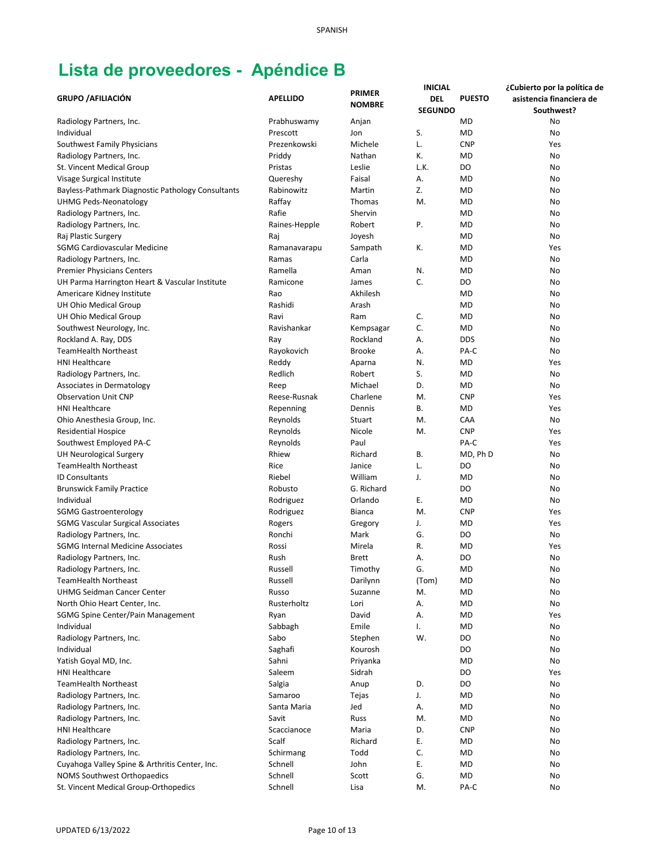| <b>GRUPO / AFILIACIÓN</b>                         | <b>APELLIDO</b> | <b>PRIMER</b><br><b>NOMBRE</b> | <b>INICIAL</b><br>DEL | <b>PUESTO</b> | ¿Cubierto por la política de<br>asistencia financiera de |
|---------------------------------------------------|-----------------|--------------------------------|-----------------------|---------------|----------------------------------------------------------|
|                                                   |                 |                                | <b>SEGUNDO</b>        |               | Southwest?                                               |
| Radiology Partners, Inc.                          | Prabhuswamy     | Anjan                          |                       | <b>MD</b>     | No                                                       |
| Individual                                        | Prescott        | Jon                            | S.                    | <b>MD</b>     | No                                                       |
| Southwest Family Physicians                       | Prezenkowski    | Michele                        | L.                    | <b>CNP</b>    | Yes                                                      |
| Radiology Partners, Inc.                          | Priddy          | Nathan                         | К.                    | <b>MD</b>     | No                                                       |
| St. Vincent Medical Group                         | Pristas         | Leslie                         | L.K.                  | DO            | No                                                       |
| Visage Surgical Institute                         | Quereshy        | Faisal                         | А.                    | <b>MD</b>     | No                                                       |
| Bayless-Pathmark Diagnostic Pathology Consultants | Rabinowitz      | Martin                         | Z.                    | <b>MD</b>     | No                                                       |
| <b>UHMG Peds-Neonatology</b>                      | Raffay          | Thomas                         | M.                    | <b>MD</b>     | No                                                       |
| Radiology Partners, Inc.                          | Rafie           | Shervin                        |                       | <b>MD</b>     | No                                                       |
| Radiology Partners, Inc.                          | Raines-Hepple   | Robert                         | Ρ.                    | <b>MD</b>     | No                                                       |
| Raj Plastic Surgery                               | Raj             | Joyesh                         |                       | <b>MD</b>     | No                                                       |
| <b>SGMG Cardiovascular Medicine</b>               | Ramanavarapu    | Sampath                        | К.                    | <b>MD</b>     | Yes                                                      |
| Radiology Partners, Inc.                          | Ramas           | Carla                          |                       | <b>MD</b>     | No                                                       |
| <b>Premier Physicians Centers</b>                 | Ramella         | Aman                           | N.                    | <b>MD</b>     | No                                                       |
| UH Parma Harrington Heart & Vascular Institute    | Ramicone        | James                          | C.                    | DO            | No                                                       |
| Americare Kidney Institute                        | Rao             | Akhilesh                       |                       | <b>MD</b>     | No                                                       |
| UH Ohio Medical Group                             | Rashidi         | Arash                          |                       | <b>MD</b>     | No                                                       |
| UH Ohio Medical Group                             | Ravi            | Ram                            | C.                    | <b>MD</b>     | No                                                       |
| Southwest Neurology, Inc.                         | Ravishankar     | Kempsagar                      | C.                    | MD            | No                                                       |
| Rockland A. Ray, DDS                              | Ray             | Rockland                       | А.                    | <b>DDS</b>    | No                                                       |
| <b>TeamHealth Northeast</b>                       | Rayokovich      | <b>Brooke</b>                  | А.                    | PA-C          | No                                                       |
| <b>HNI Healthcare</b>                             | Reddy           |                                | N.                    | MD            | Yes                                                      |
|                                                   |                 | Aparna                         | S.                    |               |                                                          |
| Radiology Partners, Inc.                          | Redlich         | Robert                         |                       | MD            | No                                                       |
| Associates in Dermatology                         | Reep            | Michael                        | D.                    | <b>MD</b>     | No                                                       |
| <b>Observation Unit CNP</b>                       | Reese-Rusnak    | Charlene                       | M.                    | <b>CNP</b>    | Yes                                                      |
| <b>HNI Healthcare</b>                             | Repenning       | Dennis                         | В.                    | <b>MD</b>     | Yes                                                      |
| Ohio Anesthesia Group, Inc.                       | Reynolds        | Stuart                         | M.                    | CAA           | No                                                       |
| <b>Residential Hospice</b>                        | Reynolds        | Nicole                         | M.                    | <b>CNP</b>    | Yes                                                      |
| Southwest Employed PA-C                           | Reynolds        | Paul                           |                       | PA-C          | Yes                                                      |
| <b>UH Neurological Surgery</b>                    | Rhiew           | Richard                        | <b>B.</b>             | MD, Ph D      | No                                                       |
| <b>TeamHealth Northeast</b>                       | Rice            | Janice                         | L.                    | DO            | No                                                       |
| <b>ID Consultants</b>                             | Riebel          | William                        | J.                    | <b>MD</b>     | No                                                       |
| <b>Brunswick Family Practice</b>                  | Robusto         | G. Richard                     |                       | DO            | No                                                       |
| Individual                                        | Rodriguez       | Orlando                        | Ε.                    | <b>MD</b>     | No                                                       |
| <b>SGMG Gastroenterology</b>                      | Rodriguez       | <b>Bianca</b>                  | M.                    | <b>CNP</b>    | Yes                                                      |
| <b>SGMG Vascular Surgical Associates</b>          | Rogers          | Gregory                        | J.                    | MD            | Yes                                                      |
| Radiology Partners, Inc.                          | Ronchi          | Mark                           | G.                    | DO            | No                                                       |
| <b>SGMG Internal Medicine Associates</b>          | Rossi           | Mirela                         | R.                    | <b>MD</b>     | Yes                                                      |
| Radiology Partners, Inc.                          | Rush            | Brett                          | А.                    | DO            | No                                                       |
| Radiology Partners, Inc.                          | Russell         | Timothy                        | G.                    | <b>MD</b>     | No                                                       |
| <b>TeamHealth Northeast</b>                       | Russell         | Darilynn                       | (Tom)                 | <b>MD</b>     | No                                                       |
| <b>UHMG Seidman Cancer Center</b>                 | Russo           | Suzanne                        | M.                    | MD            | No                                                       |
| North Ohio Heart Center, Inc.                     | Rusterholtz     | Lori                           | А.                    | <b>MD</b>     | No                                                       |
| SGMG Spine Center/Pain Management                 | Ryan            | David                          | Α.                    | <b>MD</b>     | Yes                                                      |
| Individual                                        | Sabbagh         | Emile                          | Ι.                    | <b>MD</b>     | No                                                       |
| Radiology Partners, Inc.                          | Sabo            | Stephen                        | W.                    | DO            | No                                                       |
|                                                   |                 |                                |                       | DO            |                                                          |
| Individual                                        | Saghafi         | Kourosh                        |                       |               | No                                                       |
| Yatish Goyal MD, Inc.                             | Sahni           | Priyanka                       |                       | <b>MD</b>     | No                                                       |
| <b>HNI Healthcare</b>                             | Saleem          | Sidrah                         |                       | DO            | Yes                                                      |
| <b>TeamHealth Northeast</b>                       | Salgia          | Anup                           | D.                    | DO            | No                                                       |
| Radiology Partners, Inc.                          | Samaroo         | Tejas                          | J.                    | MD            | No                                                       |
| Radiology Partners, Inc.                          | Santa Maria     | Jed                            | А.                    | <b>MD</b>     | No                                                       |
| Radiology Partners, Inc.                          | Savit           | Russ                           | M.                    | <b>MD</b>     | No                                                       |
| <b>HNI Healthcare</b>                             | Scaccianoce     | Maria                          | D.                    | <b>CNP</b>    | No                                                       |
| Radiology Partners, Inc.                          | Scalf           | Richard                        | Е.                    | <b>MD</b>     | No                                                       |
| Radiology Partners, Inc.                          | Schirmang       | Todd                           | C.                    | <b>MD</b>     | No                                                       |
| Cuyahoga Valley Spine & Arthritis Center, Inc.    | Schnell         | John                           | Ε.                    | <b>MD</b>     | No                                                       |
| NOMS Southwest Orthopaedics                       | Schnell         | Scott                          | G.                    | MD            | No                                                       |
| St. Vincent Medical Group-Orthopedics             | Schnell         | Lisa                           | M.                    | PA-C          | No                                                       |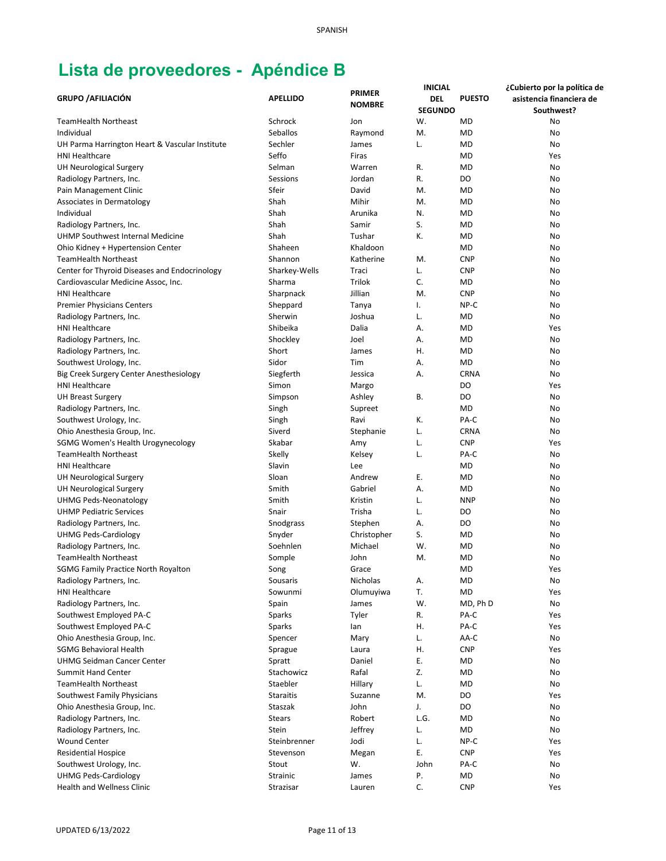| <b>GRUPO / AFILIACIÓN</b>                      | <b>APELLIDO</b>  | <b>PRIMER</b> | <b>INICIAL</b><br>DEL | <b>PUESTO</b> | ¿Cubierto por la política de<br>asistencia financiera de |
|------------------------------------------------|------------------|---------------|-----------------------|---------------|----------------------------------------------------------|
|                                                |                  | <b>NOMBRE</b> | <b>SEGUNDO</b>        |               | Southwest?                                               |
| TeamHealth Northeast                           | Schrock          | Jon           | W.                    | <b>MD</b>     | No                                                       |
| Individual                                     | Seballos         | Raymond       | M.                    | <b>MD</b>     | No                                                       |
| UH Parma Harrington Heart & Vascular Institute | Sechler          | James         | L.                    | <b>MD</b>     | No                                                       |
| <b>HNI Healthcare</b>                          | Seffo            | Firas         |                       | <b>MD</b>     | Yes                                                      |
| <b>UH Neurological Surgery</b>                 | Selman           | Warren        | R.                    | <b>MD</b>     | No                                                       |
| Radiology Partners, Inc.                       | Sessions         | Jordan        | R.                    | DO            | No                                                       |
| Pain Management Clinic                         | Sfeir            | David         | M.                    | <b>MD</b>     | No                                                       |
| Associates in Dermatology                      | Shah             | Mihir         | M.                    | <b>MD</b>     | No                                                       |
| Individual                                     | Shah             | Arunika       | N.                    | <b>MD</b>     | No                                                       |
| Radiology Partners, Inc.                       | Shah             | Samir         | S.                    | <b>MD</b>     | No                                                       |
| UHMP Southwest Internal Medicine               | Shah             | Tushar        | К.                    | <b>MD</b>     | No                                                       |
| Ohio Kidney + Hypertension Center              | Shaheen          | Khaldoon      |                       | <b>MD</b>     | No                                                       |
| <b>TeamHealth Northeast</b>                    | Shannon          | Katherine     | M.                    | <b>CNP</b>    | No                                                       |
| Center for Thyroid Diseases and Endocrinology  | Sharkey-Wells    | Traci         | L.                    | <b>CNP</b>    | No                                                       |
| Cardiovascular Medicine Assoc, Inc.            | Sharma           | Trilok        | C.                    | <b>MD</b>     | No                                                       |
| <b>HNI Healthcare</b>                          | Sharpnack        | Jillian       | M.                    | <b>CNP</b>    | No                                                       |
| <b>Premier Physicians Centers</b>              | Sheppard         | Tanya         | Ι.                    | NP-C          | No                                                       |
| Radiology Partners, Inc.                       | Sherwin          | Joshua        | L.                    | MD            | No                                                       |
| <b>HNI Healthcare</b>                          | Shibeika         | Dalia         | А.                    | MD            | Yes                                                      |
| Radiology Partners, Inc.                       | Shockley         | Joel          | А.                    | MD            | No                                                       |
| Radiology Partners, Inc.                       | Short            | James         | Η.                    | <b>MD</b>     | No                                                       |
| Southwest Urology, Inc.                        | Sidor            | Tim           | А.                    | <b>MD</b>     | No                                                       |
| Big Creek Surgery Center Anesthesiology        | Siegferth        | Jessica       | Α.                    | <b>CRNA</b>   | No                                                       |
| <b>HNI Healthcare</b>                          | Simon            | Margo         |                       | DO            | Yes                                                      |
| <b>UH Breast Surgery</b>                       | Simpson          | Ashley        | В.                    | DO            | No                                                       |
| Radiology Partners, Inc.                       | Singh            | Supreet       |                       | <b>MD</b>     | No                                                       |
| Southwest Urology, Inc.                        | Singh            | Ravi          | К.                    | PA-C          | No                                                       |
| Ohio Anesthesia Group, Inc.                    | Siverd           | Stephanie     | L.                    | <b>CRNA</b>   | No                                                       |
| SGMG Women's Health Urogynecology              | Skabar           | Amy           | L.                    | <b>CNP</b>    | Yes                                                      |
| <b>TeamHealth Northeast</b>                    | Skelly           | Kelsey        | L.                    | PA-C          | No                                                       |
| <b>HNI Healthcare</b>                          | Slavin           | Lee           |                       | <b>MD</b>     | No                                                       |
| <b>UH Neurological Surgery</b>                 | Sloan            | Andrew        | Ε.                    | <b>MD</b>     | No                                                       |
| UH Neurological Surgery                        | Smith            | Gabriel       | А.                    | <b>MD</b>     | No                                                       |
| <b>UHMG Peds-Neonatology</b>                   | Smith            | Kristin       | L.                    | <b>NNP</b>    | No                                                       |
| <b>UHMP Pediatric Services</b>                 | Snair            | Trisha        | L.                    | DO            | No                                                       |
| Radiology Partners, Inc.                       | Snodgrass        | Stephen       | Α.                    | DO            | No                                                       |
| <b>UHMG Peds-Cardiology</b>                    | Snyder           | Christopher   | S.                    | MD            | No                                                       |
| Radiology Partners, Inc.                       | Soehnlen         | Michael       | W.                    | MD            | No                                                       |
| <b>TeamHealth Northeast</b>                    | Somple           | John          | M.                    | <b>MD</b>     | No                                                       |
| <b>SGMG Family Practice North Royalton</b>     | Song             | Grace         |                       | <b>MD</b>     | Yes                                                      |
| Radiology Partners, Inc.                       | Sousaris         | Nicholas      | Α.                    | MD            | No                                                       |
| HNI Healthcare                                 | Sowunmi          | Olumuyiwa     | T.                    | MD            | Yes                                                      |
| Radiology Partners, Inc.                       | Spain            | James         | W.                    | MD, Ph D      | No                                                       |
| Southwest Employed PA-C                        | Sparks           | Tyler         | R.                    | PA-C          | Yes                                                      |
| Southwest Employed PA-C                        | Sparks           | lan           | Η.                    | PA-C          | Yes                                                      |
| Ohio Anesthesia Group, Inc.                    | Spencer          | Mary          | L.                    | AA-C          | No                                                       |
| <b>SGMG Behavioral Health</b>                  | Sprague          | Laura         | Η.                    | <b>CNP</b>    | Yes                                                      |
| <b>UHMG Seidman Cancer Center</b>              | Spratt           | Daniel        | Ε.                    | MD            | No                                                       |
| Summit Hand Center                             | Stachowicz       | Rafal         | Z.                    | MD            | No                                                       |
| <b>TeamHealth Northeast</b>                    | Staebler         | Hillary       | L.                    | MD            | No                                                       |
| Southwest Family Physicians                    | <b>Staraitis</b> | Suzanne       | M.                    | DO            | Yes                                                      |
| Ohio Anesthesia Group, Inc.                    | Staszak          | John          | J.                    | DO            | No                                                       |
| Radiology Partners, Inc.                       | <b>Stears</b>    | Robert        | L.G.                  | <b>MD</b>     | No                                                       |
| Radiology Partners, Inc.                       | Stein            | Jeffrey       | L.                    | MD            | No                                                       |
| <b>Wound Center</b>                            | Steinbrenner     | Jodi          | L.                    | NP-C          | Yes                                                      |
| <b>Residential Hospice</b>                     | Stevenson        | Megan         | Ε.                    | <b>CNP</b>    | Yes                                                      |
| Southwest Urology, Inc.                        | Stout            | W.            | John                  | PA-C          | No                                                       |
| <b>UHMG Peds-Cardiology</b>                    | Strainic         | James         | Ρ.                    | MD            | No                                                       |
| Health and Wellness Clinic                     | Strazisar        | Lauren        | C.                    | <b>CNP</b>    | Yes                                                      |
|                                                |                  |               |                       |               |                                                          |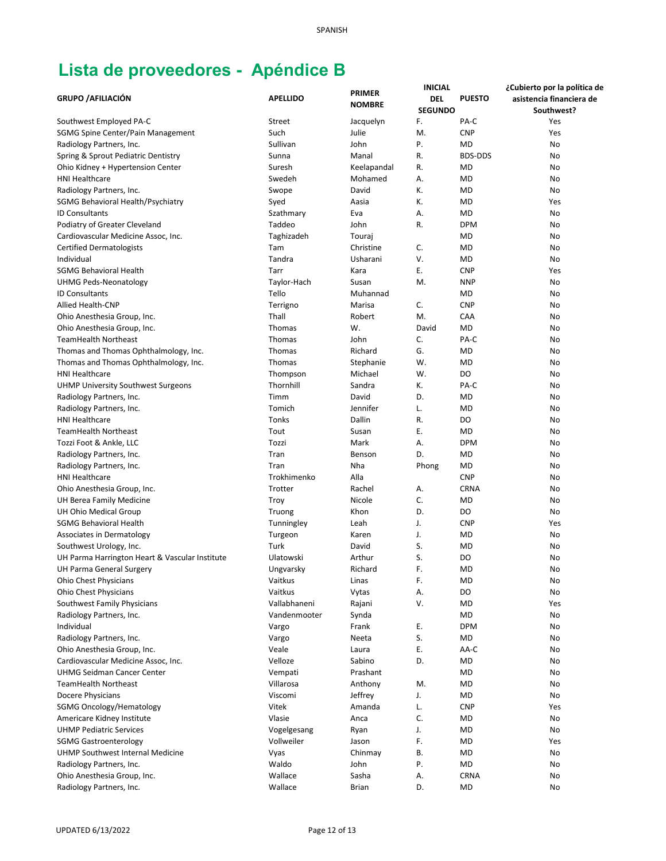|                                                         |                 |                                | <b>INICIAL</b> |                | ¿Cubierto por la política de |
|---------------------------------------------------------|-----------------|--------------------------------|----------------|----------------|------------------------------|
| <b>GRUPO / AFILIACIÓN</b>                               | <b>APELLIDO</b> | <b>PRIMER</b><br><b>NOMBRE</b> | DEL            | <b>PUESTO</b>  | asistencia financiera de     |
|                                                         |                 |                                | <b>SEGUNDO</b> |                | Southwest?                   |
| Southwest Employed PA-C                                 | Street          | Jacquelyn                      | F.             | PA-C           | Yes                          |
| SGMG Spine Center/Pain Management                       | Such            | Julie                          | M.             | <b>CNP</b>     | Yes                          |
| Radiology Partners, Inc.                                | Sullivan        | John                           | Ρ.             | <b>MD</b>      | No                           |
| Spring & Sprout Pediatric Dentistry                     | Sunna           | Manal                          | R.             | <b>BDS-DDS</b> | No                           |
| Ohio Kidney + Hypertension Center                       | Suresh          | Keelapandal                    | R.             | <b>MD</b>      | No                           |
| <b>HNI Healthcare</b>                                   | Swedeh          | Mohamed                        | А.             | <b>MD</b>      | No                           |
| Radiology Partners, Inc.                                | Swope           | David                          | К.             | <b>MD</b>      | No                           |
| SGMG Behavioral Health/Psychiatry                       | Syed            | Aasia                          | К.             | <b>MD</b>      | Yes                          |
| <b>ID Consultants</b>                                   | Szathmary       | Eva                            | А.             | <b>MD</b>      | No                           |
| Podiatry of Greater Cleveland                           | Taddeo          | John                           | R.             | <b>DPM</b>     | No                           |
| Cardiovascular Medicine Assoc, Inc.                     | Taghizadeh      | Touraj                         |                | MD             | No                           |
| <b>Certified Dermatologists</b>                         | Tam             | Christine                      | C.             | <b>MD</b>      | No                           |
| Individual                                              | Tandra          | Usharani                       | V.             | <b>MD</b>      | No                           |
| SGMG Behavioral Health                                  | Tarr            | Kara                           | Ε.             | <b>CNP</b>     | Yes                          |
| UHMG Peds-Neonatology                                   | Taylor-Hach     | Susan                          | M.             | <b>NNP</b>     | No                           |
| <b>ID Consultants</b>                                   | Tello           | Muhannad                       |                | <b>MD</b>      | No                           |
| Allied Health-CNP                                       | Terrigno        | Marisa                         | C.             | <b>CNP</b>     | No                           |
| Ohio Anesthesia Group, Inc.                             | Thall           | Robert                         | M.             | CAA            | No                           |
| Ohio Anesthesia Group, Inc.                             | Thomas          | W.                             | David          | <b>MD</b>      | No                           |
| <b>TeamHealth Northeast</b>                             | Thomas          | John                           | C.             | PA-C           | No                           |
| Thomas and Thomas Ophthalmology, Inc.                   | Thomas          | Richard                        | G.             | MD             | No                           |
| Thomas and Thomas Ophthalmology, Inc.                   | Thomas          | Stephanie                      | W.             | <b>MD</b>      | No                           |
| <b>HNI Healthcare</b>                                   | Thompson        | Michael                        | W.             | DO             | No                           |
| <b>UHMP University Southwest Surgeons</b>               | Thornhill       | Sandra                         | К.             | PA-C           | No                           |
| Radiology Partners, Inc.                                | Timm            | David                          | D.             | <b>MD</b>      | No                           |
| Radiology Partners, Inc.                                | Tomich          | Jennifer                       | L.             | <b>MD</b>      | No                           |
| <b>HNI Healthcare</b>                                   | Tonks           | Dallin                         | R.             | DO             | No                           |
| <b>TeamHealth Northeast</b>                             | Tout            | Susan                          | Ε.             | <b>MD</b>      | No                           |
| Tozzi Foot & Ankle, LLC                                 | Tozzi           | Mark                           | А.             | <b>DPM</b>     | No                           |
| Radiology Partners, Inc.                                | Tran            | Benson                         | D.             | <b>MD</b>      | No                           |
| Radiology Partners, Inc.                                | Tran            | Nha                            | Phong          | <b>MD</b>      | No                           |
| <b>HNI Healthcare</b>                                   | Trokhimenko     | Alla                           |                | <b>CNP</b>     | No                           |
|                                                         | Trotter         | Rachel                         | Α.             | <b>CRNA</b>    | No                           |
| Ohio Anesthesia Group, Inc.<br>UH Berea Family Medicine | Troy            | Nicole                         | C.             | <b>MD</b>      | No                           |
| UH Ohio Medical Group                                   | Truong          | Khon                           | D.             | DO             | No                           |
|                                                         |                 |                                | J.             |                |                              |
| <b>SGMG Behavioral Health</b>                           | Tunningley      | Leah                           |                | <b>CNP</b>     | Yes                          |
| Associates in Dermatology                               | Turgeon<br>Turk | Karen                          | J.<br>S.       | MD             | No                           |
| Southwest Urology, Inc.                                 |                 | David                          |                | MD             | No                           |
| UH Parma Harrington Heart & Vascular Institute          | Ulatowski       | Arthur                         | S.             | D <sub>O</sub> | No                           |
| UH Parma General Surgery                                | Ungvarsky       | Richard                        | F.             | <b>MD</b>      | No                           |
| <b>Ohio Chest Physicians</b>                            | Vaitkus         | Linas                          | F.             | <b>MD</b>      | No                           |
| <b>Ohio Chest Physicians</b>                            | Vaitkus         | Vytas                          | А.             | DO             | No                           |
| Southwest Family Physicians                             | Vallabhaneni    | Rajani                         | V.             | <b>MD</b>      | Yes                          |
| Radiology Partners, Inc.                                | Vandenmooter    | Synda                          |                | MD             | No                           |
| Individual                                              | Vargo           | Frank                          | Ε.             | <b>DPM</b>     | No                           |
| Radiology Partners, Inc.                                | Vargo           | Neeta                          | S.             | MD             | No                           |
| Ohio Anesthesia Group, Inc.                             | Veale           | Laura                          | Ε.             | AA-C           | No                           |
| Cardiovascular Medicine Assoc, Inc.                     | Velloze         | Sabino                         | D.             | MD             | No                           |
| <b>UHMG Seidman Cancer Center</b>                       | Vempati         | Prashant                       |                | <b>MD</b>      | No                           |
| <b>TeamHealth Northeast</b>                             | Villarosa       | Anthony                        | M.             | MD             | No                           |
| Docere Physicians                                       | Viscomi         | Jeffrey                        | J.             | <b>MD</b>      | No                           |
| <b>SGMG Oncology/Hematology</b>                         | Vitek           | Amanda                         | L.             | <b>CNP</b>     | Yes                          |
| Americare Kidney Institute                              | Vlasie          | Anca                           | C.             | <b>MD</b>      | No                           |
| <b>UHMP Pediatric Services</b>                          | Vogelgesang     | Ryan                           | J.             | <b>MD</b>      | No                           |
| <b>SGMG Gastroenterology</b>                            | Vollweiler      | Jason                          | F.             | <b>MD</b>      | Yes                          |
| UHMP Southwest Internal Medicine                        | Vyas            | Chinmay                        | В.             | <b>MD</b>      | No                           |
| Radiology Partners, Inc.                                | Waldo           | John                           | Ρ.             | <b>MD</b>      | No                           |
| Ohio Anesthesia Group, Inc.                             | Wallace         | Sasha                          | Α.             | <b>CRNA</b>    | No                           |
| Radiology Partners, Inc.                                | Wallace         | <b>Brian</b>                   | D.             | <b>MD</b>      | No                           |